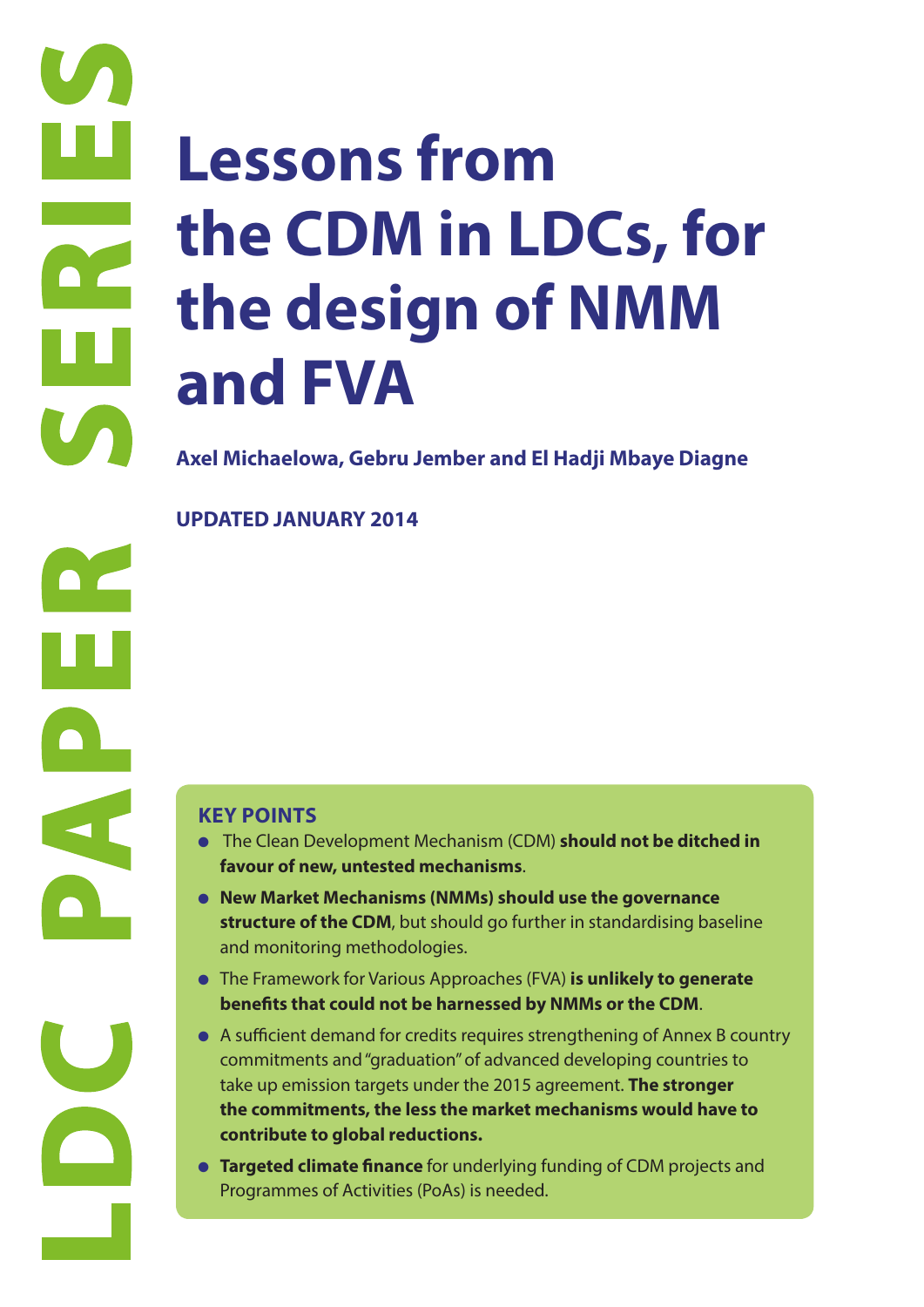# **Less the C<br>the d<br>and H<br>Axel Michaelov**<br>UPDATED JANI<br>C<br>Experiment Structure of<br>The Clean D<br>Exporance<br>The France<br>Law Market<br>Structure of<br>the France<br>Law Market<br>Structure of<br>the France<br>Law Market<br>Structure of<br>the Lean D<br>Asuff **Lessons from the CDM in LDCs, for the design of NMM and FVA**

**Axel Michaelowa, Gebru Jember and El Hadji Mbaye Diagne**

**UPDATED JANUARY 2014**

- The Clean Development Mechanism (CDM) **should not be ditched in favour of new, untested mechanisms**.
- **New Market Mechanisms (NMMs) should use the governance structure of the CDM**, but should go further in standardising baseline and monitoring methodologies.
- The Framework for Various Approaches (FVA) **is unlikely to generate benefits that could not be harnessed by NMMs or the CDM**.
- A sufficient demand for credits requires strengthening of Annex B country commitments and "graduation" of advanced developing countries to take up emission targets under the 2015 agreement. **The stronger the commitments, the less the market mechanisms would have to contribute to global reductions.**
- **Targeted climate finance** for underlying funding of CDM projects and Programmes of Activities (PoAs) is needed.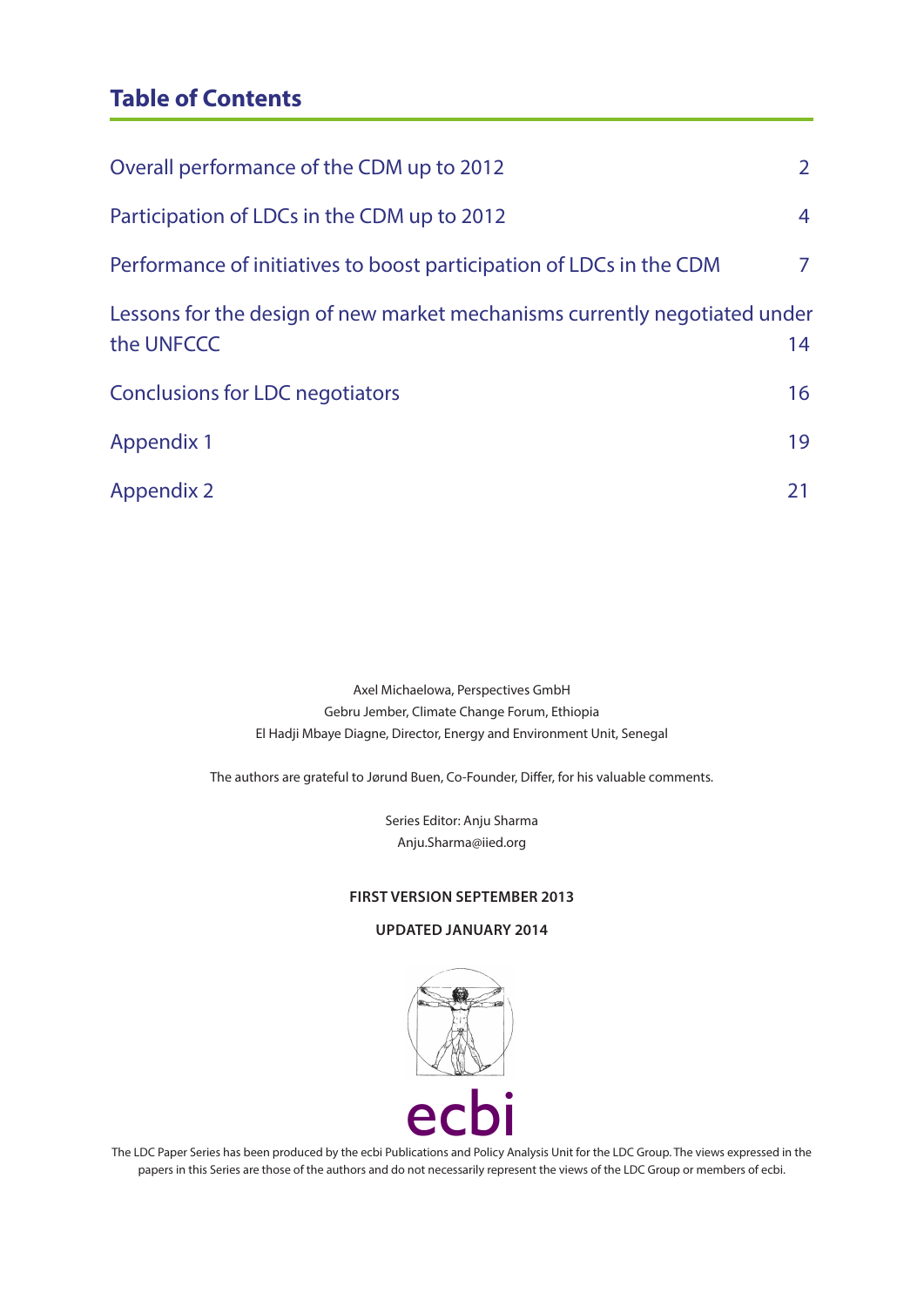# **Table of Contents**

| Overall performance of the CDM up to 2012                                                | 2 <sup>1</sup> |
|------------------------------------------------------------------------------------------|----------------|
| Participation of LDCs in the CDM up to 2012                                              | $\overline{4}$ |
| Performance of initiatives to boost participation of LDCs in the CDM                     | 7              |
| Lessons for the design of new market mechanisms currently negotiated under<br>the UNFCCC | 14             |
| <b>Conclusions for LDC negotiators</b>                                                   | 16             |
| <b>Appendix 1</b>                                                                        | 19             |
| <b>Appendix 2</b>                                                                        | 21             |

Axel Michaelowa, Perspectives GmbH Gebru Jember, Climate Change Forum, Ethiopia El Hadji Mbaye Diagne, Director, Energy and Environment Unit, Senegal

The authors are grateful to Jørund Buen, Co-Founder, Differ, for his valuable comments.

Series Editor: Anju Sharma Anju.Sharma@iied.org

#### **FIRST VERSION SEPTEMBER 2013**

#### **UPDATED JANUARY 2014**



The LDC Paper Series has been produced by the ecbi Publications and Policy Analysis Unit for the LDC Group. The views expressed in the papers in this Series are those of the authors and do not necessarily represent the views of the LDC Group or members of ecbi.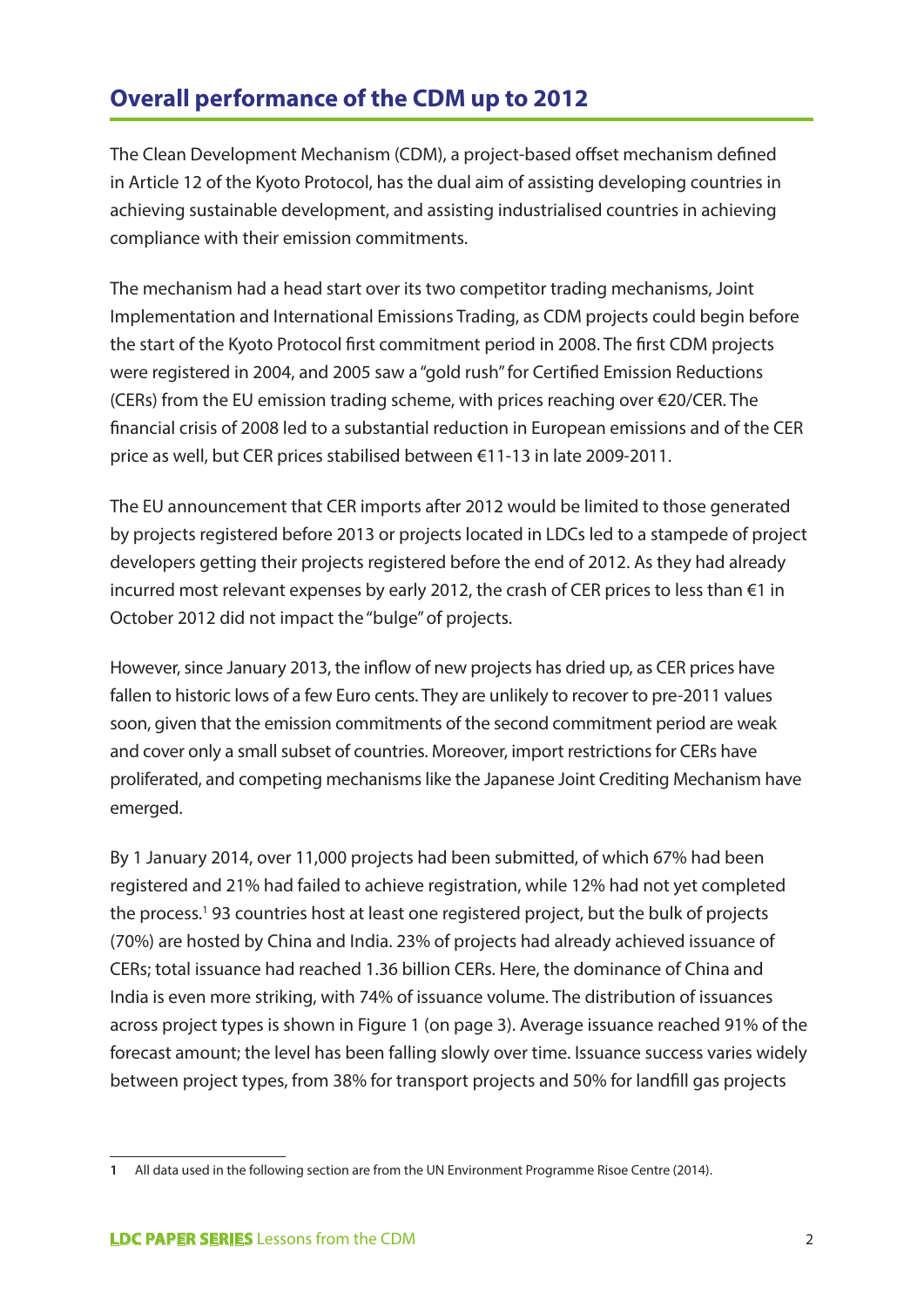# **Overall performance of the CDM up to 2012**

The Clean Development Mechanism (CDM), a project-based offset mechanism defined in Article 12 of the Kyoto Protocol, has the dual aim of assisting developing countries in achieving sustainable development, and assisting industrialised countries in achieving compliance with their emission commitments.

The mechanism had a head start over its two competitor trading mechanisms, Joint Implementation and International Emissions Trading, as CDM projects could begin before the start of the Kyoto Protocol first commitment period in 2008. The first CDM projects were registered in 2004, and 2005 saw a "gold rush" for Certified Emission Reductions (CERs) from the EU emission trading scheme, with prices reaching over €20/CER. The financial crisis of 2008 led to a substantial reduction in European emissions and of the CER price as well, but CER prices stabilised between €11-13 in late 2009-2011.

The EU announcement that CER imports after 2012 would be limited to those generated by projects registered before 2013 or projects located in LDCs led to a stampede of project developers getting their projects registered before the end of 2012. As they had already incurred most relevant expenses by early 2012, the crash of CER prices to less than €1 in October 2012 did not impact the "bulge" of projects.

However, since January 2013, the inflow of new projects has dried up, as CER prices have fallen to historic lows of a few Euro cents. They are unlikely to recover to pre-2011 values soon, given that the emission commitments of the second commitment period are weak and cover only a small subset of countries. Moreover, import restrictions for CERs have proliferated, and competing mechanisms like the Japanese Joint Crediting Mechanism have emerged.

By 1 January 2014, over 11,000 projects had been submitted, of which 67% had been registered and 21% had failed to achieve registration, while 12% had not yet completed the process.1 93 countries host at least one registered project, but the bulk of projects (70%) are hosted by China and India. 23% of projects had already achieved issuance of CERs; total issuance had reached 1.36 billion CERs. Here, the dominance of China and India is even more striking, with 74% of issuance volume. The distribution of issuances across project types is shown in Figure 1 (on page 3). Average issuance reached 91% of the forecast amount; the level has been falling slowly over time. Issuance success varies widely between project types, from 38% for transport projects and 50% for landfill gas projects

**<sup>1</sup>** All data used in the following section are from the UN Environment Programme Risoe Centre (2014).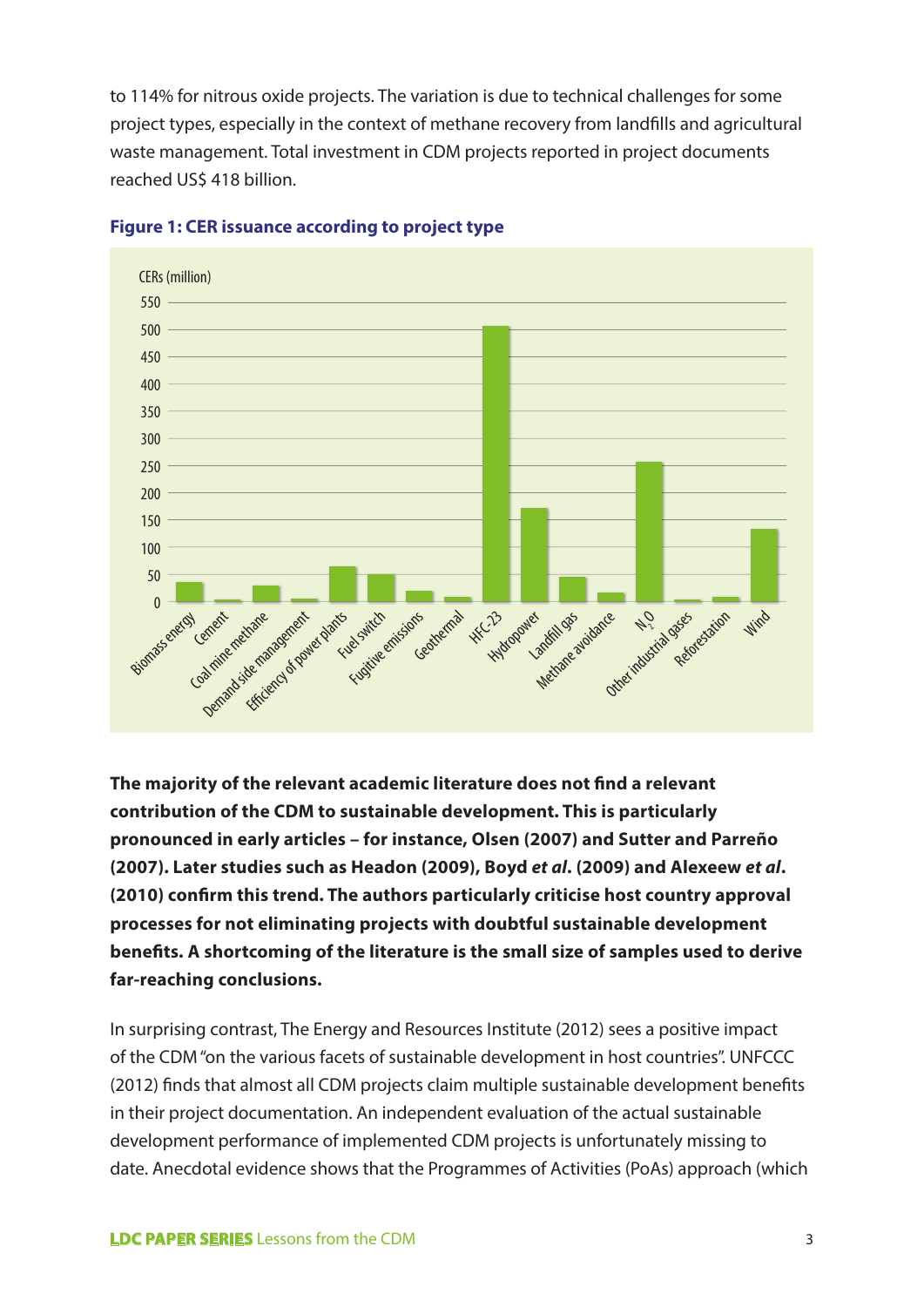to 114% for nitrous oxide projects. The variation is due to technical challenges for some project types, especially in the context of methane recovery from landfills and agricultural waste management. Total investment in CDM projects reported in project documents reached US\$ 418 billion.



#### **Figure 1: CER issuance according to project type**

**The majority of the relevant academic literature does not find a relevant contribution of the CDM to sustainable development. This is particularly pronounced in early articles – for instance, Olsen (2007) and Sutter and Parreño (2007). Later studies such as Headon (2009), Boyd** *et al***. (2009) and Alexeew** *et al***. (2010) confirm this trend. The authors particularly criticise host country approval processes for not eliminating projects with doubtful sustainable development benefits. A shortcoming of the literature is the small size of samples used to derive far-reaching conclusions.** 

In surprising contrast, The Energy and Resources Institute (2012) sees a positive impact of the CDM "on the various facets of sustainable development in host countries". UNFCCC (2012) finds that almost all CDM projects claim multiple sustainable development benefits in their project documentation. An independent evaluation of the actual sustainable development performance of implemented CDM projects is unfortunately missing to date. Anecdotal evidence shows that the Programmes of Activities (PoAs) approach (which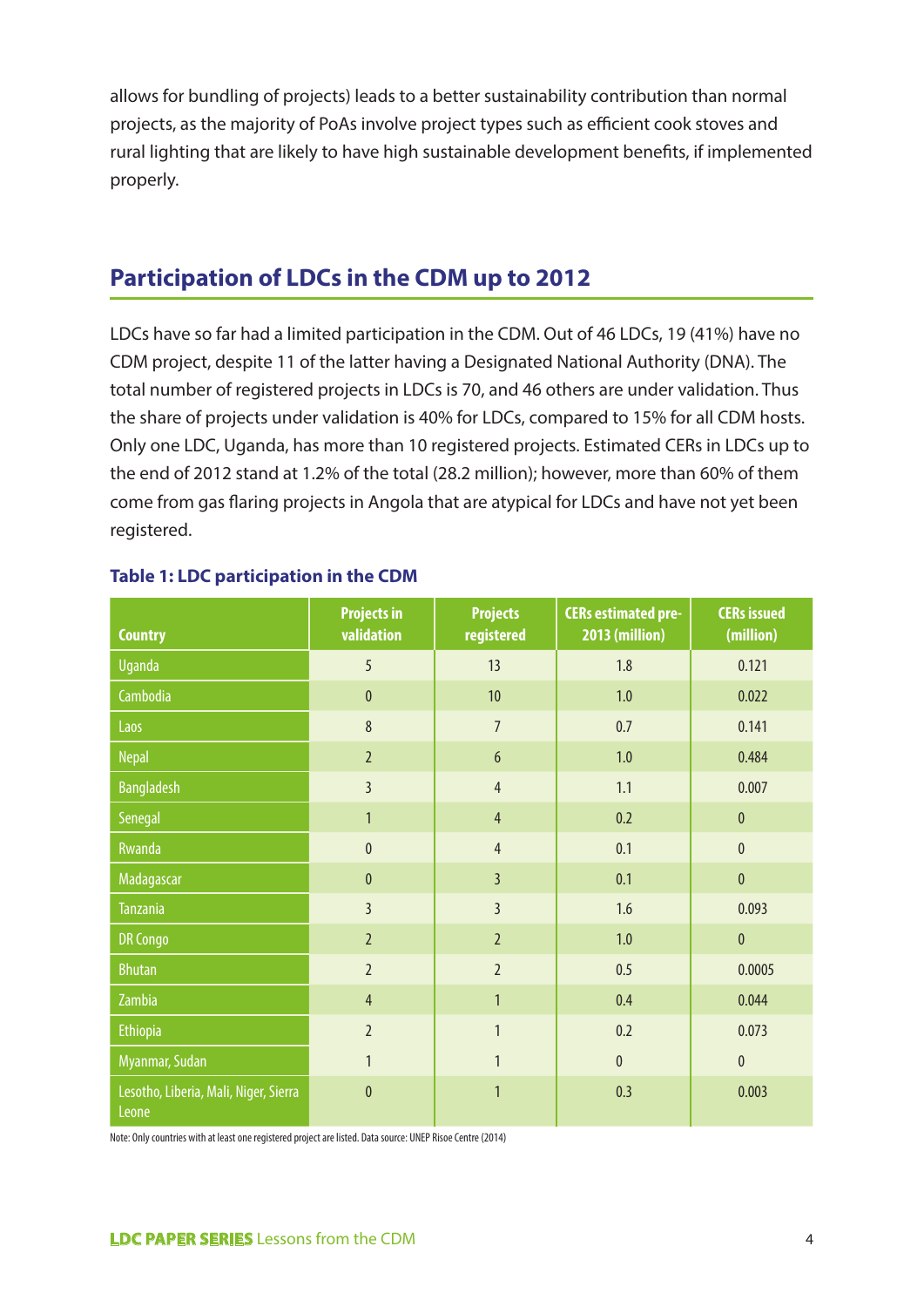allows for bundling of projects) leads to a better sustainability contribution than normal projects, as the majority of PoAs involve project types such as efficient cook stoves and rural lighting that are likely to have high sustainable development benefits, if implemented properly.

# **Participation of LDCs in the CDM up to 2012**

LDCs have so far had a limited participation in the CDM. Out of 46 LDCs, 19 (41%) have no CDM project, despite 11 of the latter having a Designated National Authority (DNA). The total number of registered projects in LDCs is 70, and 46 others are under validation. Thus the share of projects under validation is 40% for LDCs, compared to 15% for all CDM hosts. Only one LDC, Uganda, has more than 10 registered projects. Estimated CERs in LDCs up to the end of 2012 stand at 1.2% of the total (28.2 million); however, more than 60% of them come from gas flaring projects in Angola that are atypical for LDCs and have not yet been registered.

| <b>Country</b>                                 | <b>Projects in</b><br>validation | <b>Projects</b><br>registered | <b>CERs estimated pre-</b><br>2013 (million) | <b>CERs issued</b><br>(million) |  |
|------------------------------------------------|----------------------------------|-------------------------------|----------------------------------------------|---------------------------------|--|
| <b>Uganda</b>                                  | 5                                | 13                            | 1.8                                          | 0.121                           |  |
| Cambodia                                       | $\mathbf{0}$                     | 10                            | 1.0                                          | 0.022                           |  |
| Laos                                           | 8                                | $\overline{7}$                | 0.7                                          | 0.141                           |  |
| <b>Nepal</b>                                   | $\overline{2}$                   | $6\,$                         | $1.0$                                        | 0.484                           |  |
| <b>Bangladesh</b>                              | $\overline{3}$                   | $\overline{4}$                | 1.1                                          | 0.007                           |  |
| Senegal                                        | $\mathbf{1}$                     | $\overline{4}$                | 0.2                                          | $\mathbf{0}$                    |  |
| <b>Rwanda</b>                                  | $\overline{0}$                   | $\overline{4}$                | 0.1                                          | $\mathbf{0}$                    |  |
| Madagascar                                     | $\mathbf{0}$                     | $\overline{3}$                | 0.1                                          | $\mathbf 0$                     |  |
| <b>Tanzania</b>                                | $\overline{3}$                   | $\overline{3}$                | 1.6                                          | 0.093                           |  |
| <b>DR Congo</b>                                | $\overline{2}$                   | $\overline{2}$                | 1.0                                          | $\mathbf{0}$                    |  |
| <b>Bhutan</b>                                  | $\overline{2}$                   | $\overline{2}$                | 0.5                                          | 0.0005                          |  |
| Zambia                                         | $\overline{4}$                   | $\mathbf{1}$                  | 0.4                                          | 0.044                           |  |
| <b>Ethiopia</b>                                | $\overline{2}$                   | $\mathbf{1}$                  | 0.2                                          | 0.073                           |  |
| Myanmar, Sudan                                 | $\mathbf{1}$                     | $\overline{1}$                | $\pmb{0}$                                    | $\mathbf 0$                     |  |
| Lesotho, Liberia, Mali, Niger, Sierra<br>Leone | $\mathbf{0}$                     | $\mathbf{1}$                  | 0.3                                          | 0.003                           |  |

#### **Table 1: LDC participation in the CDM**

Note: Only countries with at least one registered project are listed. Data source: UNEP Risoe Centre (2014)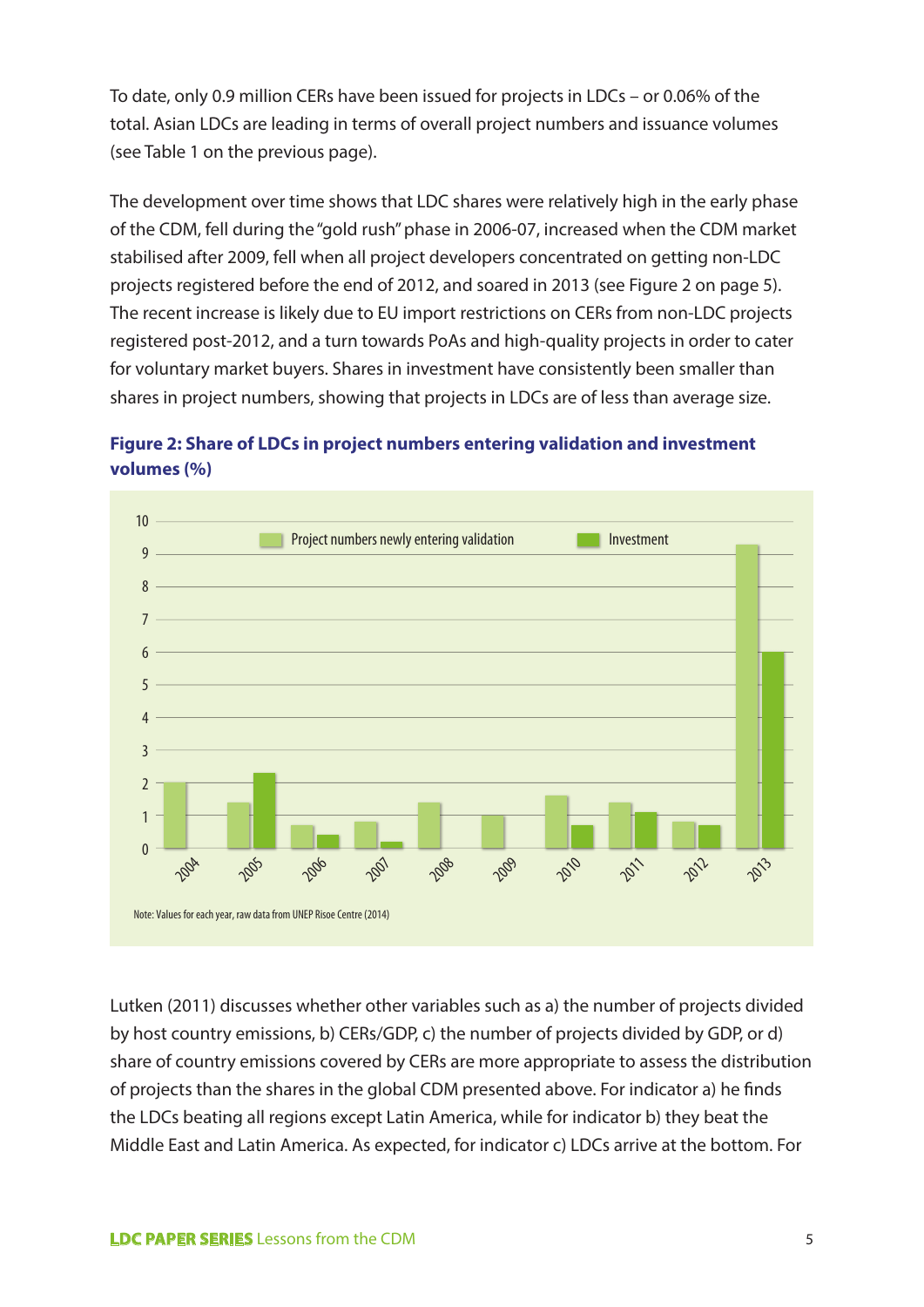To date, only 0.9 million CERs have been issued for projects in LDCs – or 0.06% of the total. Asian LDCs are leading in terms of overall project numbers and issuance volumes (see Table 1 on the previous page).

The development over time shows that LDC shares were relatively high in the early phase of the CDM, fell during the "gold rush" phase in 2006-07, increased when the CDM market stabilised after 2009, fell when all project developers concentrated on getting non-LDC projects registered before the end of 2012, and soared in 2013 (see Figure 2 on page 5). The recent increase is likely due to EU import restrictions on CERs from non-LDC projects registered post-2012, and a turn towards PoAs and high-quality projects in order to cater for voluntary market buyers. Shares in investment have consistently been smaller than shares in project numbers, showing that projects in LDCs are of less than average size.





 $P_{\epsilon}/CDP_{\epsilon}$ by host country emissions, b) CERs/GDP, c) the number of projects divided by GDP, or d) share of country emissions covered by CERs are more appropriate to assess the distribution of projects than the shares in the global CDM presented above. For indicator a) he finds the LDCs beating all regions except Latin America, while for indicator b) they beat the 2007 0.8 0.2 Middle East and Latin America. As expected, for indicator c) LDCs arrive at the bottom. For Lutken (2011) discusses whether other variables such as a) the number of projects divided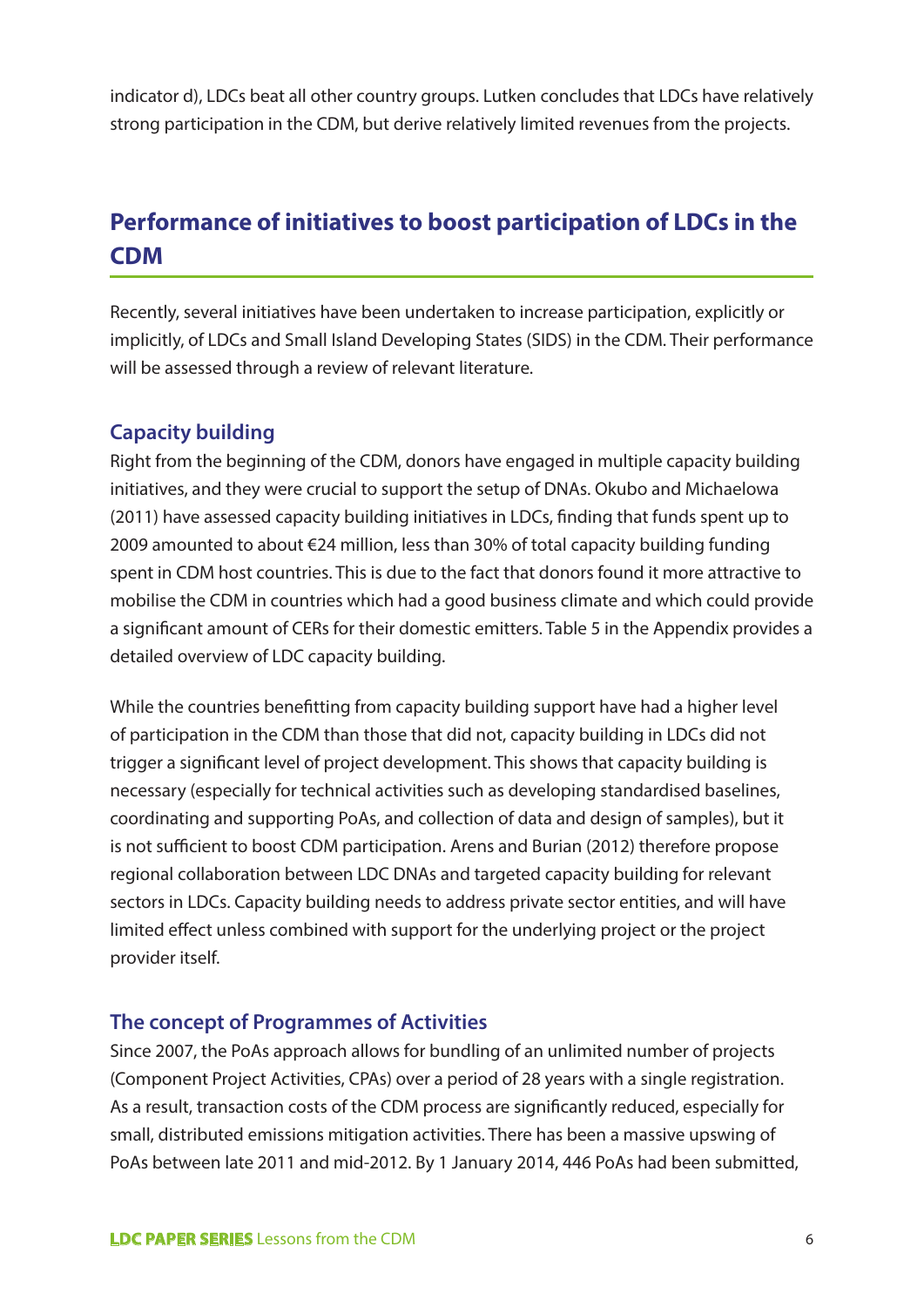indicator d), LDCs beat all other country groups. Lutken concludes that LDCs have relatively strong participation in the CDM, but derive relatively limited revenues from the projects.

# **Performance of initiatives to boost participation of LDCs in the CDM**

Recently, several initiatives have been undertaken to increase participation, explicitly or implicitly, of LDCs and Small Island Developing States (SIDS) in the CDM. Their performance will be assessed through a review of relevant literature.

#### **Capacity building**

Right from the beginning of the CDM, donors have engaged in multiple capacity building initiatives, and they were crucial to support the setup of DNAs. Okubo and Michaelowa (2011) have assessed capacity building initiatives in LDCs, finding that funds spent up to 2009 amounted to about €24 million, less than 30% of total capacity building funding spent in CDM host countries. This is due to the fact that donors found it more attractive to mobilise the CDM in countries which had a good business climate and which could provide a significant amount of CERs for their domestic emitters. Table 5 in the Appendix provides a detailed overview of LDC capacity building.

While the countries benefitting from capacity building support have had a higher level of participation in the CDM than those that did not, capacity building in LDCs did not trigger a significant level of project development. This shows that capacity building is necessary (especially for technical activities such as developing standardised baselines, coordinating and supporting PoAs, and collection of data and design of samples), but it is not sufficient to boost CDM participation. Arens and Burian (2012) therefore propose regional collaboration between LDC DNAs and targeted capacity building for relevant sectors in LDCs. Capacity building needs to address private sector entities, and will have limited effect unless combined with support for the underlying project or the project provider itself.

#### **The concept of Programmes of Activities**

Since 2007, the PoAs approach allows for bundling of an unlimited number of projects (Component Project Activities, CPAs) over a period of 28 years with a single registration. As a result, transaction costs of the CDM process are significantly reduced, especially for small, distributed emissions mitigation activities. There has been a massive upswing of PoAs between late 2011 and mid-2012. By 1 January 2014, 446 PoAs had been submitted,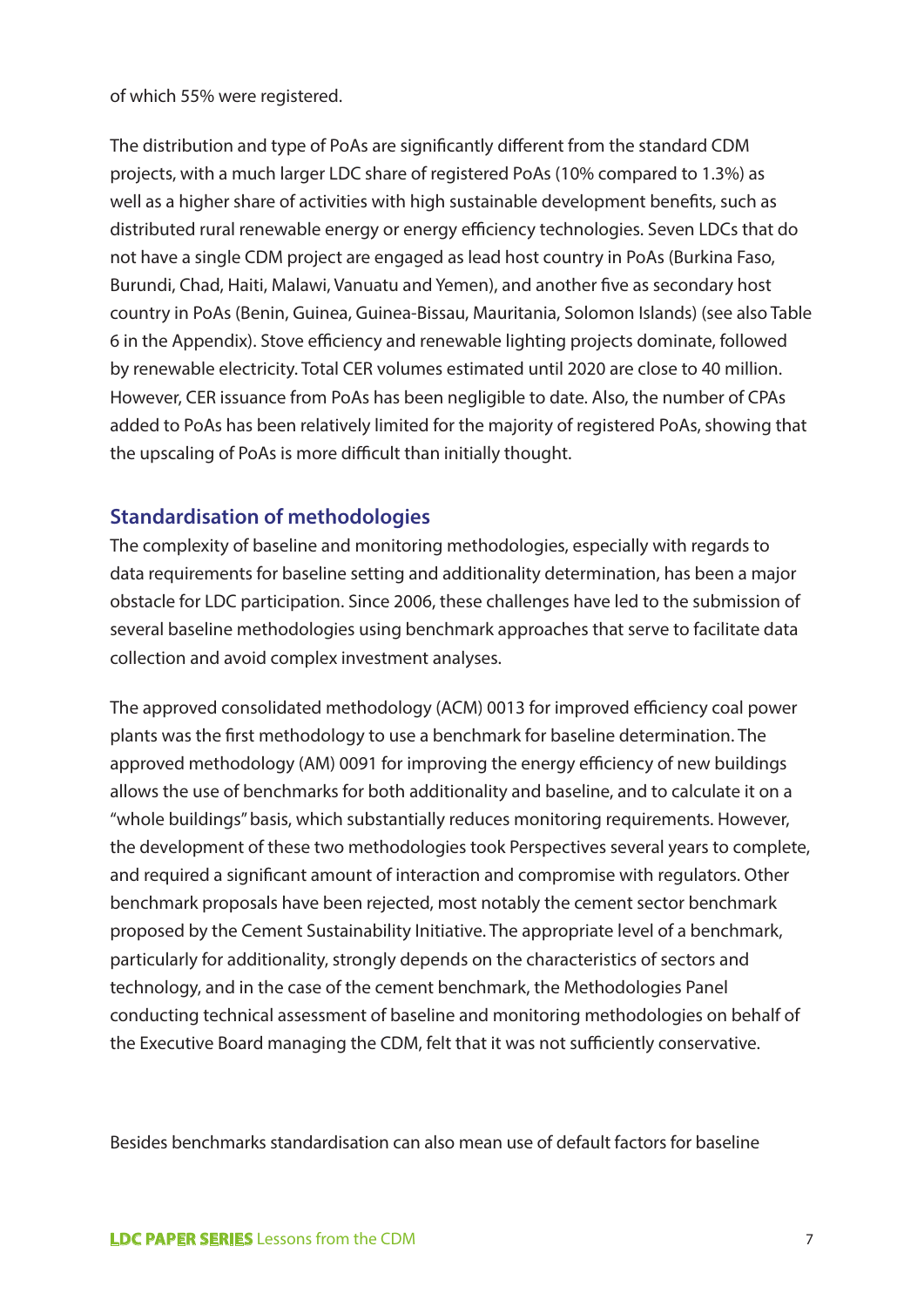of which 55% were registered.

The distribution and type of PoAs are significantly different from the standard CDM projects, with a much larger LDC share of registered PoAs (10% compared to 1.3%) as well as a higher share of activities with high sustainable development benefits, such as distributed rural renewable energy or energy efficiency technologies. Seven LDCs that do not have a single CDM project are engaged as lead host country in PoAs (Burkina Faso, Burundi, Chad, Haiti, Malawi, Vanuatu and Yemen), and another five as secondary host country in PoAs (Benin, Guinea, Guinea-Bissau, Mauritania, Solomon Islands) (see also Table 6 in the Appendix). Stove efficiency and renewable lighting projects dominate, followed by renewable electricity. Total CER volumes estimated until 2020 are close to 40 million. However, CER issuance from PoAs has been negligible to date. Also, the number of CPAs added to PoAs has been relatively limited for the majority of registered PoAs, showing that the upscaling of PoAs is more difficult than initially thought.

#### **Standardisation of methodologies**

The complexity of baseline and monitoring methodologies, especially with regards to data requirements for baseline setting and additionality determination, has been a major obstacle for LDC participation. Since 2006, these challenges have led to the submission of several baseline methodologies using benchmark approaches that serve to facilitate data collection and avoid complex investment analyses.

The approved consolidated methodology (ACM) 0013 for improved efficiency coal power plants was the first methodology to use a benchmark for baseline determination. The approved methodology (AM) 0091 for improving the energy efficiency of new buildings allows the use of benchmarks for both additionality and baseline, and to calculate it on a "whole buildings" basis, which substantially reduces monitoring requirements. However, the development of these two methodologies took Perspectives several years to complete, and required a significant amount of interaction and compromise with regulators. Other benchmark proposals have been rejected, most notably the cement sector benchmark proposed by the Cement Sustainability Initiative. The appropriate level of a benchmark, particularly for additionality, strongly depends on the characteristics of sectors and technology, and in the case of the cement benchmark, the Methodologies Panel conducting technical assessment of baseline and monitoring methodologies on behalf of the Executive Board managing the CDM, felt that it was not sufficiently conservative.

Besides benchmarks standardisation can also mean use of default factors for baseline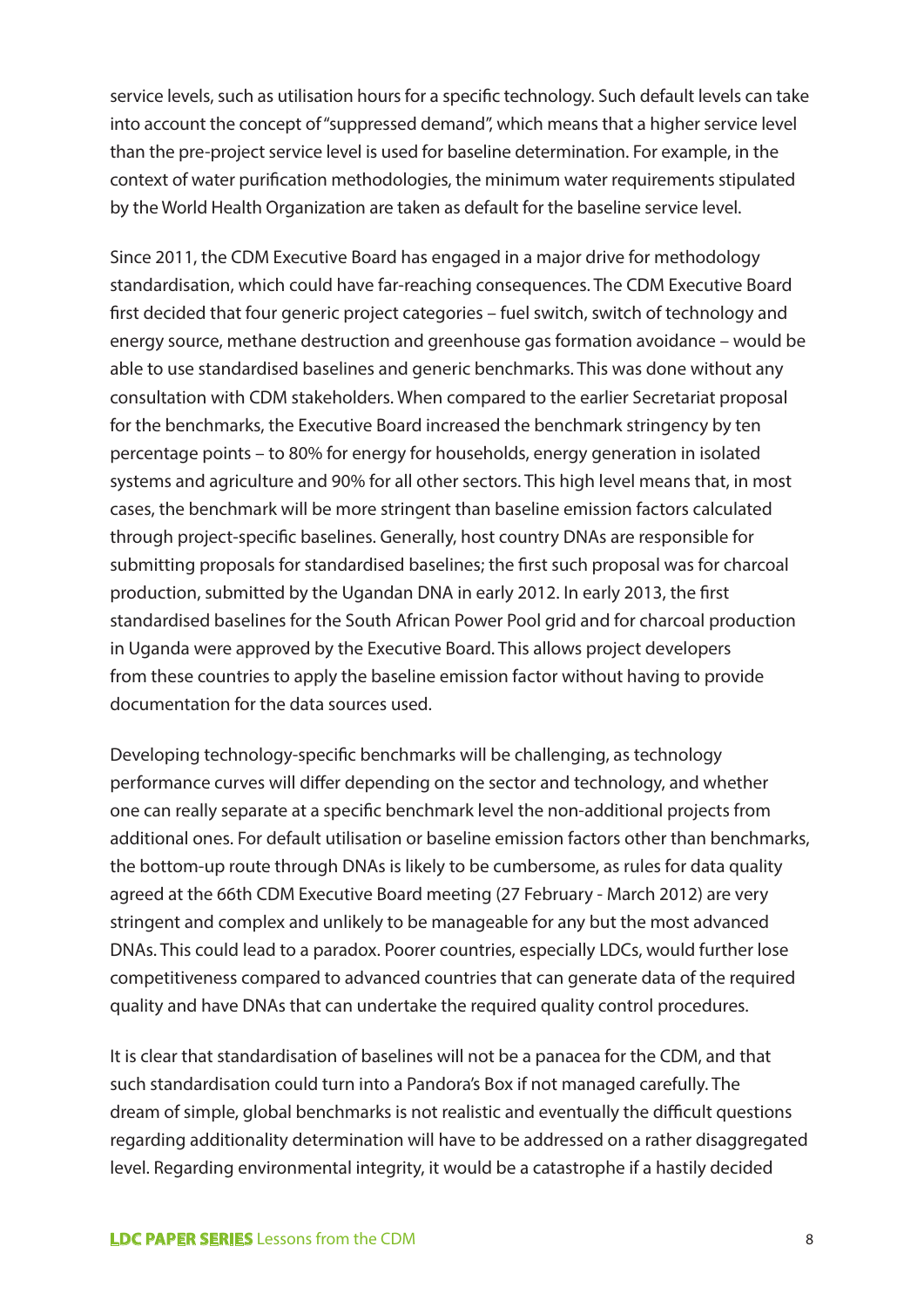service levels, such as utilisation hours for a specific technology. Such default levels can take into account the concept of "suppressed demand", which means that a higher service level than the pre-project service level is used for baseline determination. For example, in the context of water purification methodologies, the minimum water requirements stipulated by the World Health Organization are taken as default for the baseline service level.

Since 2011, the CDM Executive Board has engaged in a major drive for methodology standardisation, which could have far-reaching consequences. The CDM Executive Board first decided that four generic project categories – fuel switch, switch of technology and energy source, methane destruction and greenhouse gas formation avoidance – would be able to use standardised baselines and generic benchmarks. This was done without any consultation with CDM stakeholders. When compared to the earlier Secretariat proposal for the benchmarks, the Executive Board increased the benchmark stringency by ten percentage points – to 80% for energy for households, energy generation in isolated systems and agriculture and 90% for all other sectors. This high level means that, in most cases, the benchmark will be more stringent than baseline emission factors calculated through project-specific baselines. Generally, host country DNAs are responsible for submitting proposals for standardised baselines; the first such proposal was for charcoal production, submitted by the Ugandan DNA in early 2012. In early 2013, the first standardised baselines for the South African Power Pool grid and for charcoal production in Uganda were approved by the Executive Board. This allows project developers from these countries to apply the baseline emission factor without having to provide documentation for the data sources used.

Developing technology-specific benchmarks will be challenging, as technology performance curves will differ depending on the sector and technology, and whether one can really separate at a specific benchmark level the non-additional projects from additional ones. For default utilisation or baseline emission factors other than benchmarks, the bottom-up route through DNAs is likely to be cumbersome, as rules for data quality agreed at the 66th CDM Executive Board meeting (27 February - March 2012) are very stringent and complex and unlikely to be manageable for any but the most advanced DNAs. This could lead to a paradox. Poorer countries, especially LDCs, would further lose competitiveness compared to advanced countries that can generate data of the required quality and have DNAs that can undertake the required quality control procedures.

It is clear that standardisation of baselines will not be a panacea for the CDM, and that such standardisation could turn into a Pandora's Box if not managed carefully. The dream of simple, global benchmarks is not realistic and eventually the difficult questions regarding additionality determination will have to be addressed on a rather disaggregated level. Regarding environmental integrity, it would be a catastrophe if a hastily decided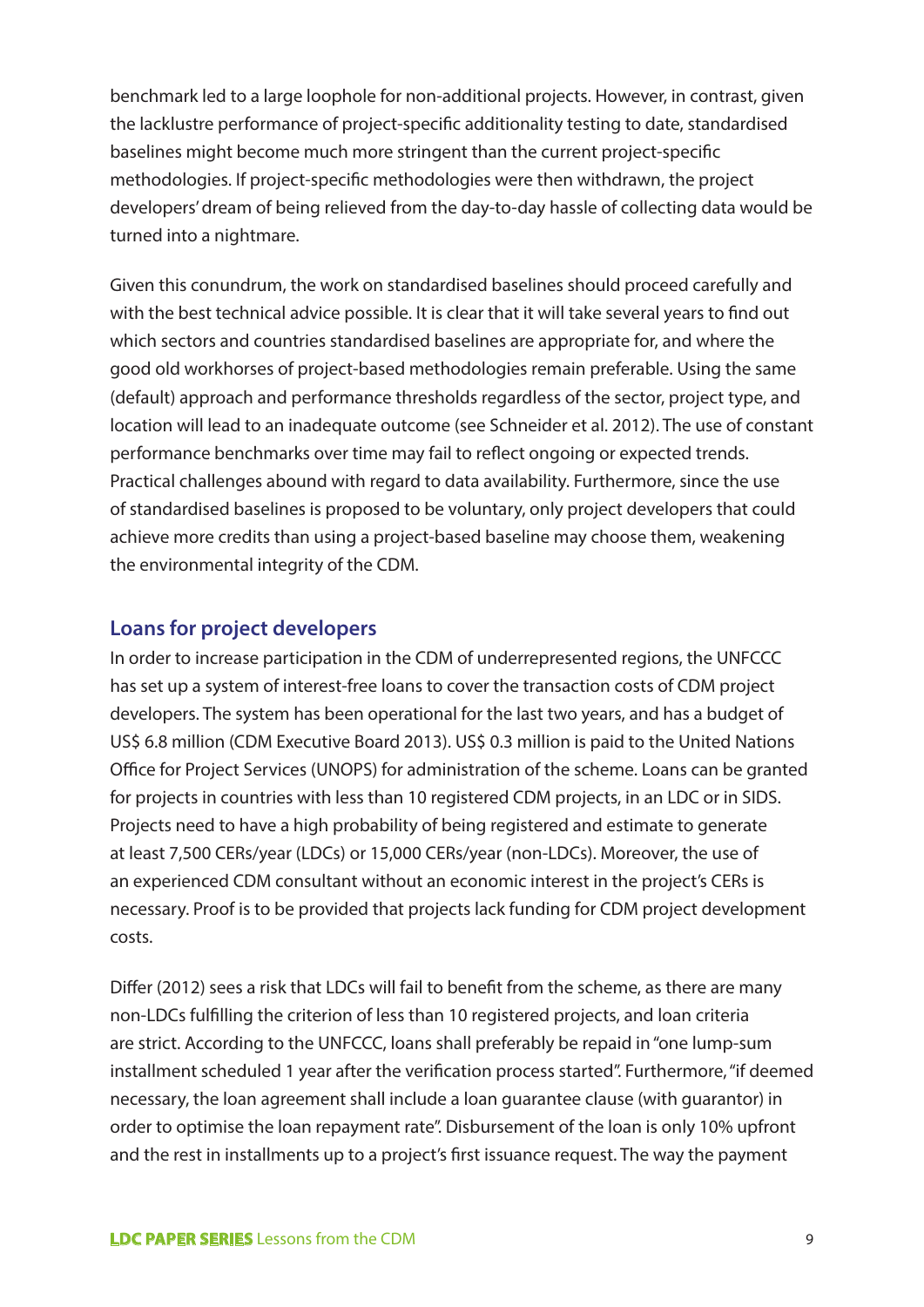benchmark led to a large loophole for non-additional projects. However, in contrast, given the lacklustre performance of project-specific additionality testing to date, standardised baselines might become much more stringent than the current project-specific methodologies. If project-specific methodologies were then withdrawn, the project developers' dream of being relieved from the day-to-day hassle of collecting data would be turned into a nightmare.

Given this conundrum, the work on standardised baselines should proceed carefully and with the best technical advice possible. It is clear that it will take several years to find out which sectors and countries standardised baselines are appropriate for, and where the good old workhorses of project-based methodologies remain preferable. Using the same (default) approach and performance thresholds regardless of the sector, project type, and location will lead to an inadequate outcome (see Schneider et al. 2012). The use of constant performance benchmarks over time may fail to reflect ongoing or expected trends. Practical challenges abound with regard to data availability. Furthermore, since the use of standardised baselines is proposed to be voluntary, only project developers that could achieve more credits than using a project-based baseline may choose them, weakening the environmental integrity of the CDM.

#### **Loans for project developers**

In order to increase participation in the CDM of underrepresented regions, the UNFCCC has set up a system of interest-free loans to cover the transaction costs of CDM project developers. The system has been operational for the last two years, and has a budget of US\$ 6.8 million (CDM Executive Board 2013). US\$ 0.3 million is paid to the United Nations Office for Project Services (UNOPS) for administration of the scheme. Loans can be granted for projects in countries with less than 10 registered CDM projects, in an LDC or in SIDS. Projects need to have a high probability of being registered and estimate to generate at least 7,500 CERs/year (LDCs) or 15,000 CERs/year (non-LDCs). Moreover, the use of an experienced CDM consultant without an economic interest in the project's CERs is necessary. Proof is to be provided that projects lack funding for CDM project development costs.

Differ (2012) sees a risk that LDCs will fail to benefit from the scheme, as there are many non-LDCs fulfilling the criterion of less than 10 registered projects, and loan criteria are strict. According to the UNFCCC, loans shall preferably be repaid in "one lump-sum installment scheduled 1 year after the verification process started". Furthermore, "if deemed necessary, the loan agreement shall include a loan guarantee clause (with guarantor) in order to optimise the loan repayment rate". Disbursement of the loan is only 10% upfront and the rest in installments up to a project's first issuance request. The way the payment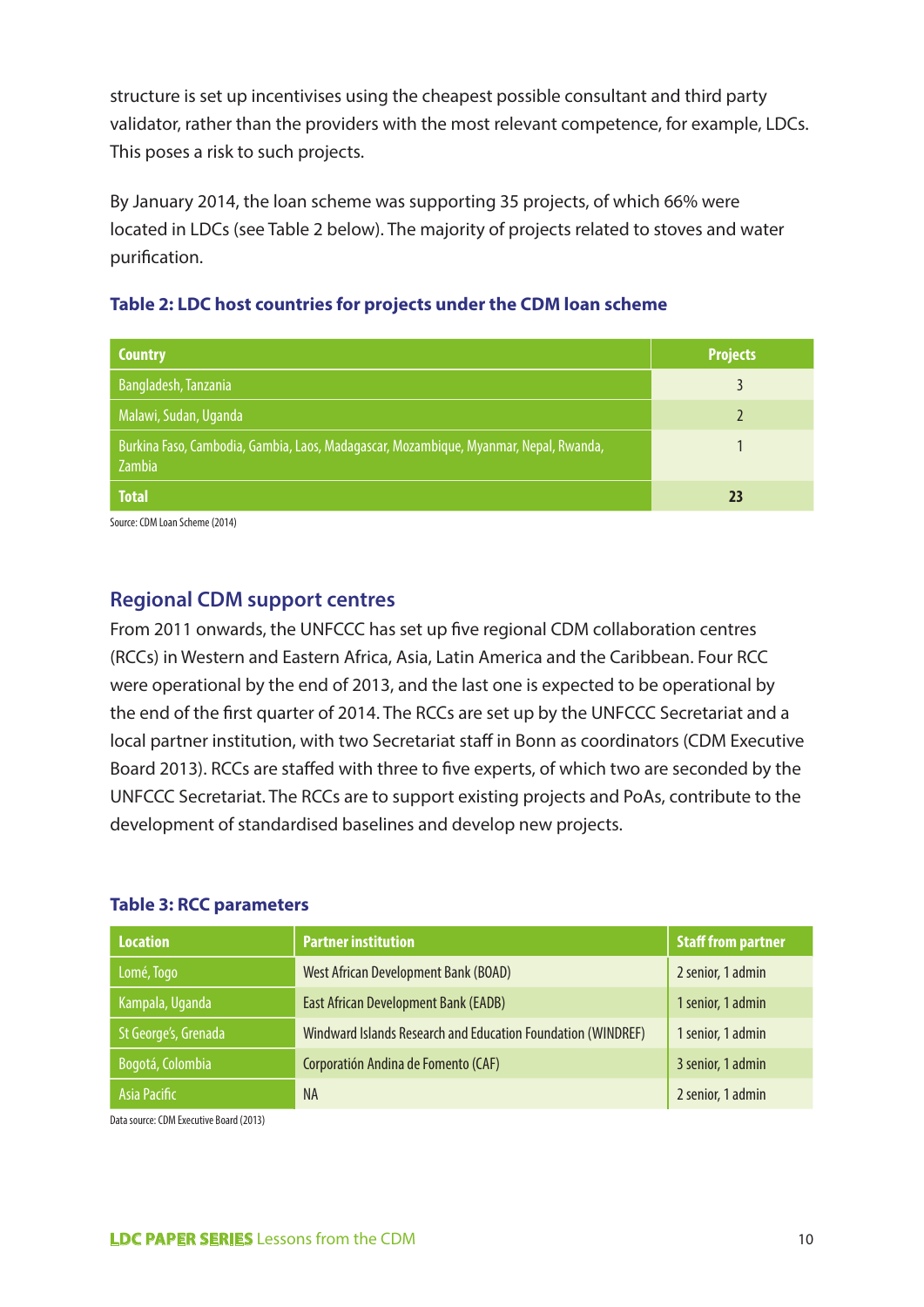structure is set up incentivises using the cheapest possible consultant and third party validator, rather than the providers with the most relevant competence, for example, LDCs. This poses a risk to such projects.

By January 2014, the loan scheme was supporting 35 projects, of which 66% were located in LDCs (see Table 2 below). The majority of projects related to stoves and water purification.



| <b>Country</b>                                                                                  | <b>Projects</b> |
|-------------------------------------------------------------------------------------------------|-----------------|
| Bangladesh, Tanzania                                                                            |                 |
| Malawi, Sudan, Uganda                                                                           |                 |
| Burkina Faso, Cambodia, Gambia, Laos, Madagascar, Mozambique, Myanmar, Nepal, Rwanda,<br>Zambia |                 |
| <b>Total</b>                                                                                    | 23              |

Source: CDM Loan Scheme (2014)

#### **Regional CDM support centres**

From 2011 onwards, the UNFCCC has set up five regional CDM collaboration centres (RCCs) in Western and Eastern Africa, Asia, Latin America and the Caribbean. Four RCC were operational by the end of 2013, and the last one is expected to be operational by the end of the first quarter of 2014. The RCCs are set up by the UNFCCC Secretariat and a local partner institution, with two Secretariat staff in Bonn as coordinators (CDM Executive Board 2013). RCCs are staffed with three to five experts, of which two are seconded by the UNFCCC Secretariat. The RCCs are to support existing projects and PoAs, contribute to the development of standardised baselines and develop new projects.

#### **Table 3: RCC parameters**

| <b>Location</b>      | <b>Partner institution</b>                                   | <b>Staff from partner</b> |
|----------------------|--------------------------------------------------------------|---------------------------|
| Lomé, Togo           | West African Development Bank (BOAD)                         | 2 senior, 1 admin         |
| Kampala, Uganda      | East African Development Bank (EADB)                         | 1 senior, 1 admin         |
| St George's, Grenada | Windward Islands Research and Education Foundation (WINDREF) | 1 senior, 1 admin         |
| Bogotá, Colombia     | Corporatión Andina de Fomento (CAF)                          | 3 senior, 1 admin         |
| Asia Pacific         | <b>NA</b>                                                    | 2 senior, 1 admin         |

Data source: CDM Executive Board (2013)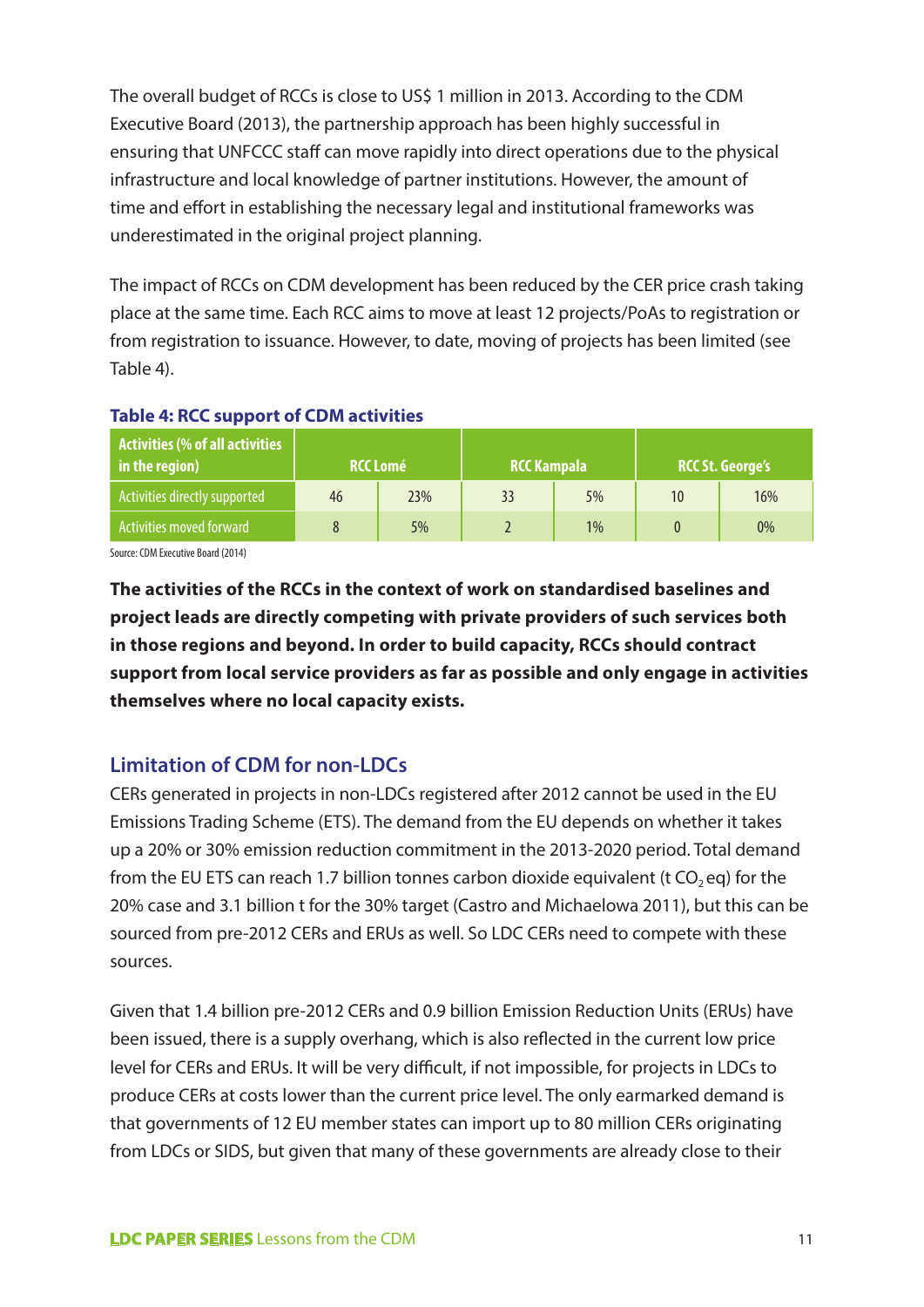The overall budget of RCCs is close to US\$ 1 million in 2013. According to the CDM Executive Board (2013), the partnership approach has been highly successful in ensuring that UNFCCC staff can move rapidly into direct operations due to the physical infrastructure and local knowledge of partner institutions. However, the amount of time and effort in establishing the necessary legal and institutional frameworks was underestimated in the original project planning.

The impact of RCCs on CDM development has been reduced by the CER price crash taking place at the same time. Each RCC aims to move at least 12 projects/PoAs to registration or from registration to issuance. However, to date, moving of projects has been limited (see Table 4).

| $\overline{\phantom{a}}$ Activities (% of all activities $\overline{\phantom{a}}$<br>in the region) |    | <b>RCC Lomé</b> | <b>RCC Kampala</b> |    |    | <b>RCC St. George's</b> |
|-----------------------------------------------------------------------------------------------------|----|-----------------|--------------------|----|----|-------------------------|
| Activities directly supported                                                                       | 46 | 23%             | 33                 | 5% | 10 | 16%                     |
| Activities moved forward                                                                            |    | 5%              |                    | 1% |    | 0%                      |

#### **Table 4: RCC support of CDM activities**

Source: CDM Executive Board (2014)

**The activities of the RCCs in the context of work on standardised baselines and project leads are directly competing with private providers of such services both in those regions and beyond. In order to build capacity, RCCs should contract support from local service providers as far as possible and only engage in activities themselves where no local capacity exists.** 

### **Limitation of CDM for non-LDCs**

CERs generated in projects in non-LDCs registered after 2012 cannot be used in the EU Emissions Trading Scheme (ETS). The demand from the EU depends on whether it takes up a 20% or 30% emission reduction commitment in the 2013-2020 period. Total demand from the EU ETS can reach 1.7 billion tonnes carbon dioxide equivalent (t  $CO_2$  eq) for the 20% case and 3.1 billion t for the 30% target (Castro and Michaelowa 2011), but this can be sourced from pre-2012 CERs and ERUs as well. So LDC CERs need to compete with these sources.

Given that 1.4 billion pre-2012 CERs and 0.9 billion Emission Reduction Units (ERUs) have been issued, there is a supply overhang, which is also reflected in the current low price level for CERs and ERUs. It will be very difficult, if not impossible, for projects in LDCs to produce CERs at costs lower than the current price level. The only earmarked demand is that governments of 12 EU member states can import up to 80 million CERs originating from LDCs or SIDS, but given that many of these governments are already close to their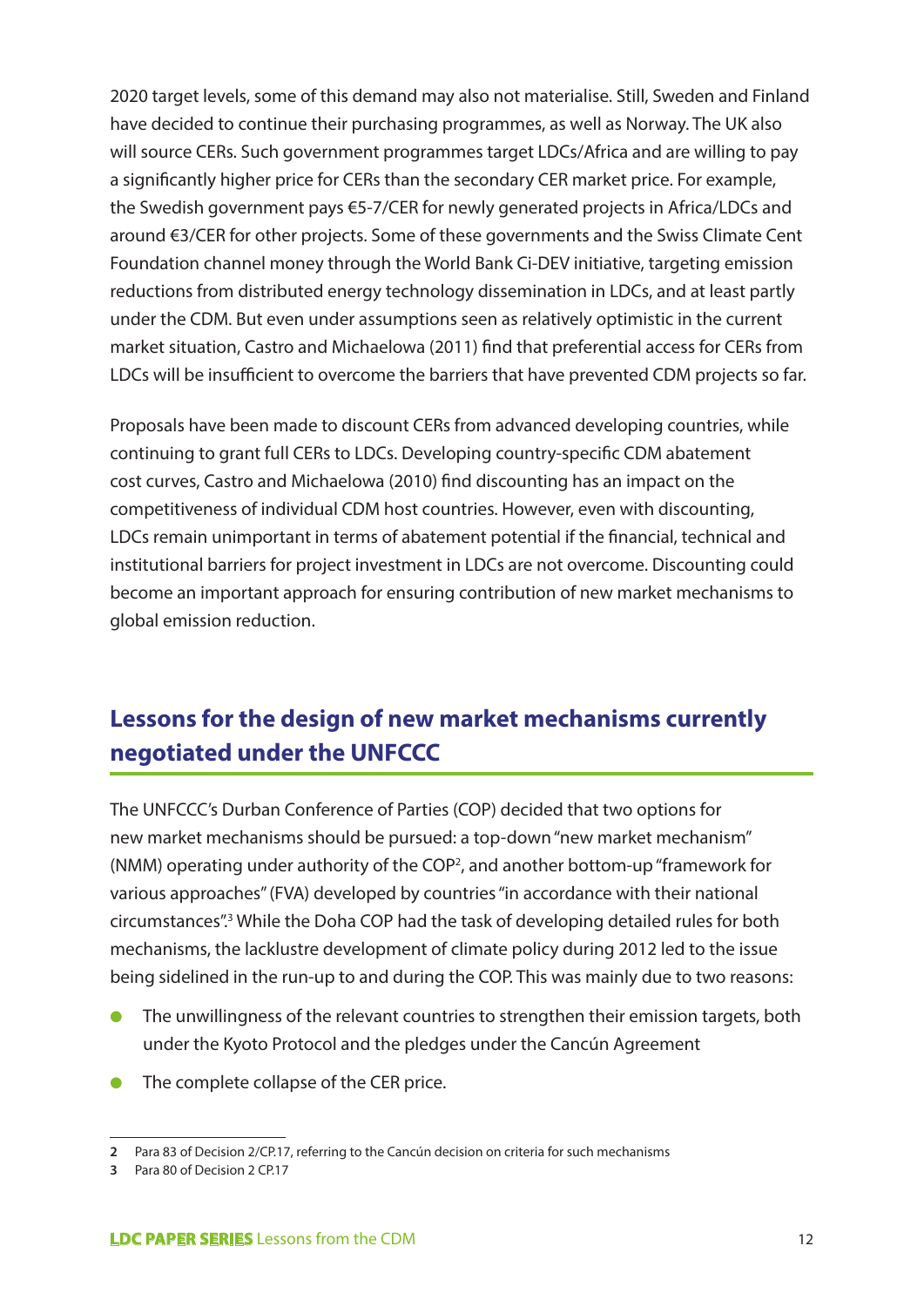2020 target levels, some of this demand may also not materialise. Still, Sweden and Finland have decided to continue their purchasing programmes, as well as Norway. The UK also will source CERs. Such government programmes target LDCs/Africa and are willing to pay a significantly higher price for CERs than the secondary CER market price. For example, the Swedish government pays €5-7/CER for newly generated projects in Africa/LDCs and around €3/CER for other projects. Some of these governments and the Swiss Climate Cent Foundation channel money through the World Bank Ci-DEV initiative, targeting emission reductions from distributed energy technology dissemination in LDCs, and at least partly under the CDM. But even under assumptions seen as relatively optimistic in the current market situation, Castro and Michaelowa (2011) find that preferential access for CERs from LDCs will be insufficient to overcome the barriers that have prevented CDM projects so far.

Proposals have been made to discount CERs from advanced developing countries, while continuing to grant full CERs to LDCs. Developing country-specific CDM abatement cost curves, Castro and Michaelowa (2010) find discounting has an impact on the competitiveness of individual CDM host countries. However, even with discounting, LDCs remain unimportant in terms of abatement potential if the financial, technical and institutional barriers for project investment in LDCs are not overcome. Discounting could become an important approach for ensuring contribution of new market mechanisms to global emission reduction.

# **Lessons for the design of new market mechanisms currently negotiated under the UNFCCC**

The UNFCCC's Durban Conference of Parties (COP) decided that two options for new market mechanisms should be pursued: a top-down "new market mechanism" (NMM) operating under authority of the COP<sup>2</sup>, and another bottom-up "framework for various approaches" (FVA) developed by countries "in accordance with their national circumstances".<sup>3</sup> While the Doha COP had the task of developing detailed rules for both mechanisms, the lacklustre development of climate policy during 2012 led to the issue being sidelined in the run-up to and during the COP. This was mainly due to two reasons:

- The unwillingness of the relevant countries to strengthen their emission targets, both under the Kyoto Protocol and the pledges under the Cancún Agreement
- The complete collapse of the CER price.

**<sup>2</sup>** Para 83 of Decision 2/CP.17, referring to the Cancún decision on criteria for such mechanisms

**<sup>3</sup>** Para 80 of Decision 2 CP.17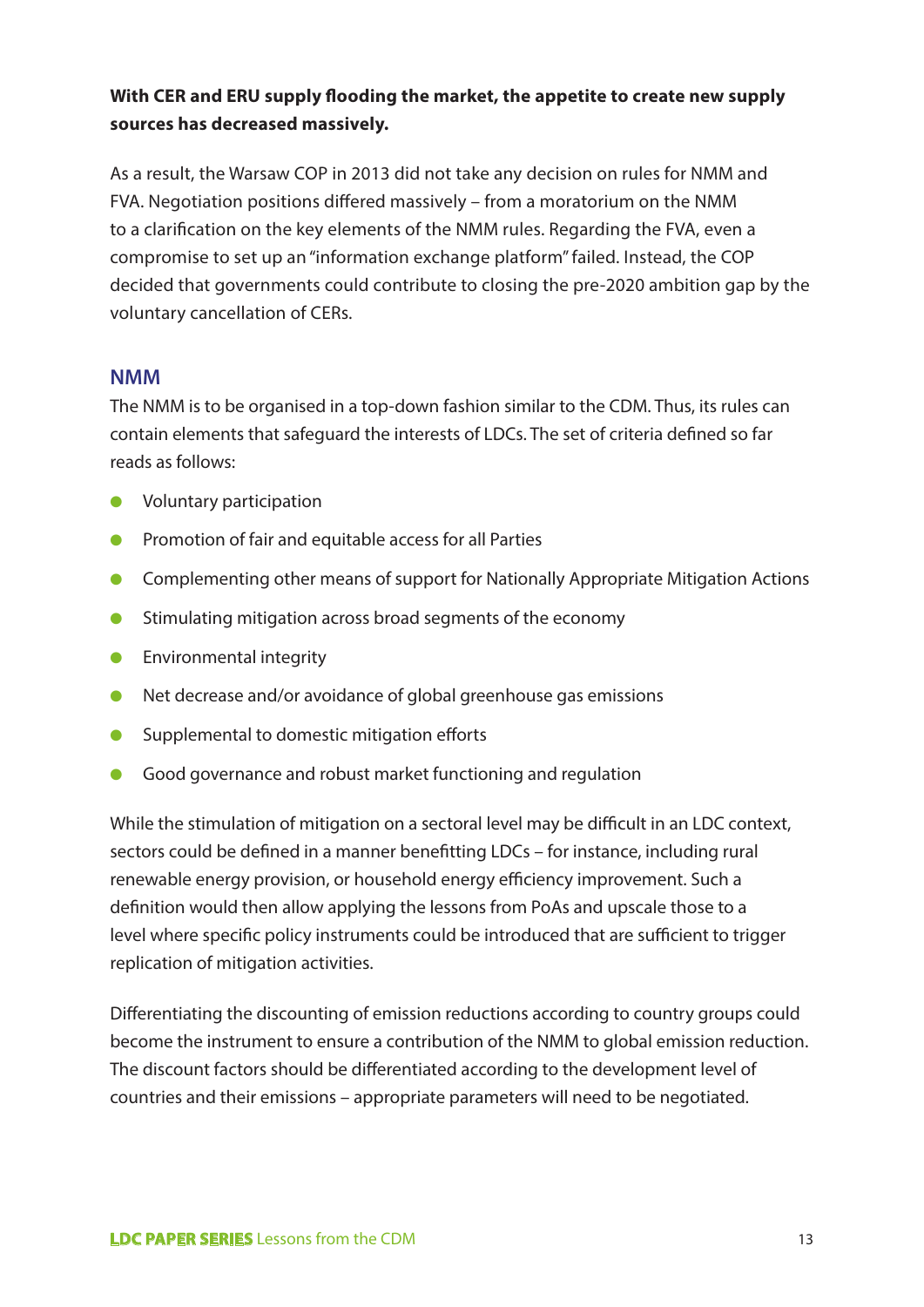#### **With CER and ERU supply flooding the market, the appetite to create new supply sources has decreased massively.**

As a result, the Warsaw COP in 2013 did not take any decision on rules for NMM and FVA. Negotiation positions differed massively – from a moratorium on the NMM to a clarification on the key elements of the NMM rules. Regarding the FVA, even a compromise to set up an "information exchange platform" failed. Instead, the COP decided that governments could contribute to closing the pre-2020 ambition gap by the voluntary cancellation of CERs.

#### **NMM**

The NMM is to be organised in a top-down fashion similar to the CDM. Thus, its rules can contain elements that safeguard the interests of LDCs. The set of criteria defined so far reads as follows:

- Voluntary participation
- Promotion of fair and equitable access for all Parties
- Complementing other means of support for Nationally Appropriate Mitigation Actions
- Stimulating mitigation across broad segments of the economy
- Environmental integrity
- Net decrease and/or avoidance of global greenhouse gas emissions
- Supplemental to domestic mitigation efforts
- Good governance and robust market functioning and regulation

While the stimulation of mitigation on a sectoral level may be difficult in an LDC context, sectors could be defined in a manner benefitting LDCs – for instance, including rural renewable energy provision, or household energy efficiency improvement. Such a definition would then allow applying the lessons from PoAs and upscale those to a level where specific policy instruments could be introduced that are sufficient to trigger replication of mitigation activities.

Differentiating the discounting of emission reductions according to country groups could become the instrument to ensure a contribution of the NMM to global emission reduction. The discount factors should be differentiated according to the development level of countries and their emissions – appropriate parameters will need to be negotiated.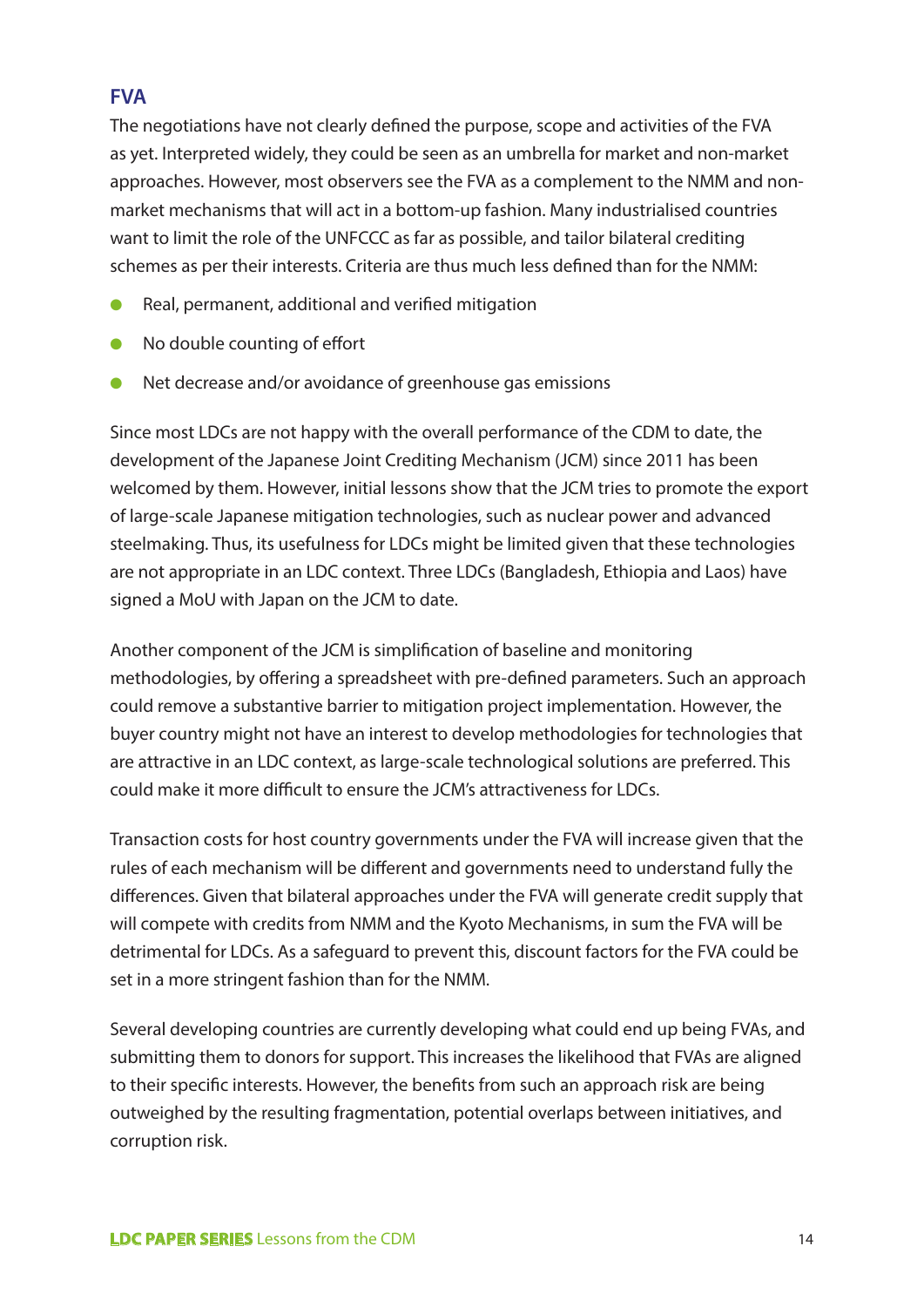#### **FVA**

The negotiations have not clearly defined the purpose, scope and activities of the FVA as yet. Interpreted widely, they could be seen as an umbrella for market and non-market approaches. However, most observers see the FVA as a complement to the NMM and nonmarket mechanisms that will act in a bottom-up fashion. Many industrialised countries want to limit the role of the UNFCCC as far as possible, and tailor bilateral crediting schemes as per their interests. Criteria are thus much less defined than for the NMM:

- Real, permanent, additional and verified mitigation
- No double counting of effort
- Net decrease and/or avoidance of greenhouse gas emissions

Since most LDCs are not happy with the overall performance of the CDM to date, the development of the Japanese Joint Crediting Mechanism (JCM) since 2011 has been welcomed by them. However, initial lessons show that the JCM tries to promote the export of large-scale Japanese mitigation technologies, such as nuclear power and advanced steelmaking. Thus, its usefulness for LDCs might be limited given that these technologies are not appropriate in an LDC context. Three LDCs (Bangladesh, Ethiopia and Laos) have signed a MoU with Japan on the JCM to date.

Another component of the JCM is simplification of baseline and monitoring methodologies, by offering a spreadsheet with pre-defined parameters. Such an approach could remove a substantive barrier to mitigation project implementation. However, the buyer country might not have an interest to develop methodologies for technologies that are attractive in an LDC context, as large-scale technological solutions are preferred. This could make it more difficult to ensure the JCM's attractiveness for LDCs.

Transaction costs for host country governments under the FVA will increase given that the rules of each mechanism will be different and governments need to understand fully the differences. Given that bilateral approaches under the FVA will generate credit supply that will compete with credits from NMM and the Kyoto Mechanisms, in sum the FVA will be detrimental for LDCs. As a safeguard to prevent this, discount factors for the FVA could be set in a more stringent fashion than for the NMM.

Several developing countries are currently developing what could end up being FVAs, and submitting them to donors for support. This increases the likelihood that FVAs are aligned to their specific interests. However, the benefits from such an approach risk are being outweighed by the resulting fragmentation, potential overlaps between initiatives, and corruption risk.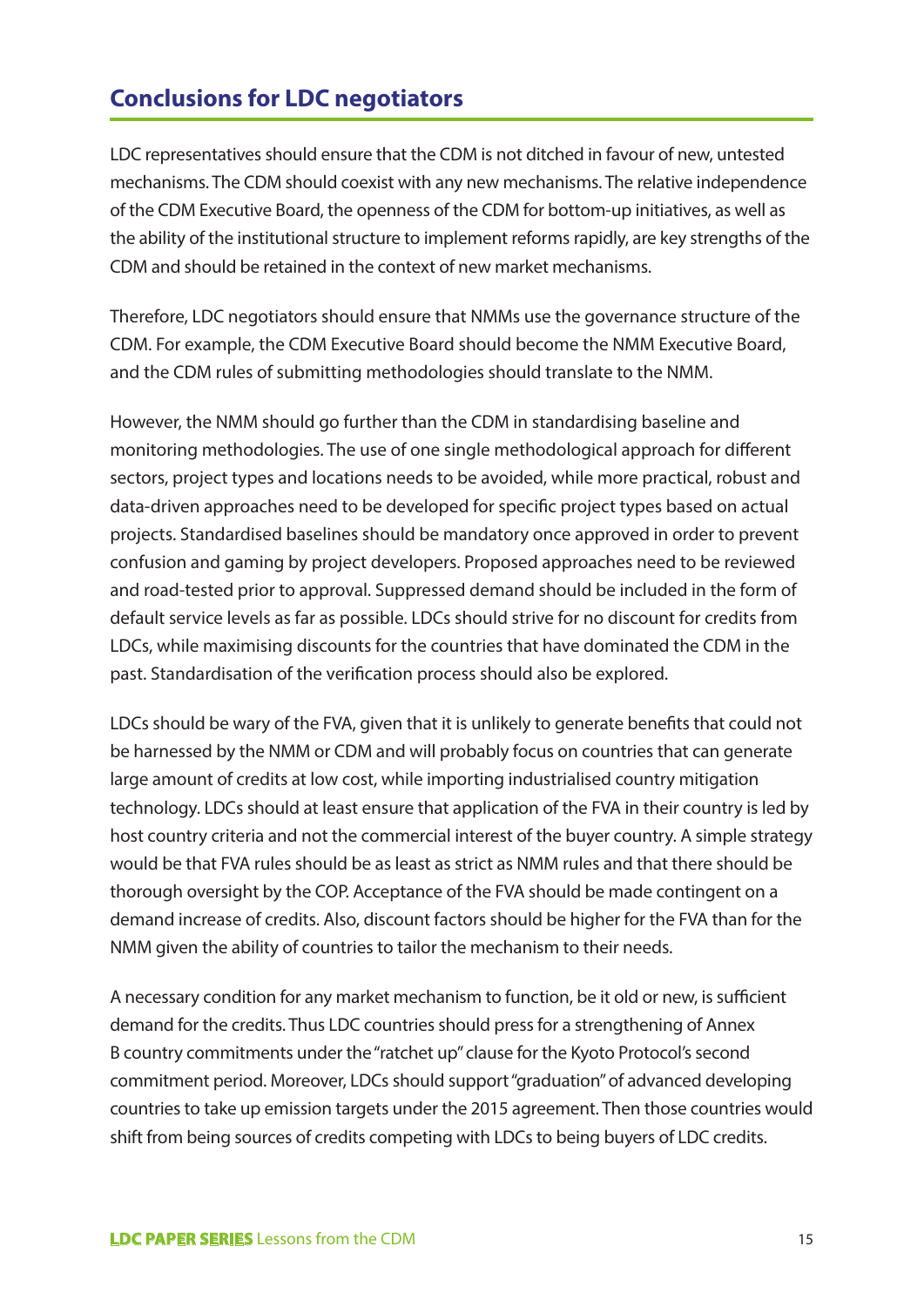# **Conclusions for LDC negotiators**

LDC representatives should ensure that the CDM is not ditched in favour of new, untested mechanisms. The CDM should coexist with any new mechanisms. The relative independence of the CDM Executive Board, the openness of the CDM for bottom-up initiatives, as well as the ability of the institutional structure to implement reforms rapidly, are key strengths of the CDM and should be retained in the context of new market mechanisms.

Therefore, LDC negotiators should ensure that NMMs use the governance structure of the CDM. For example, the CDM Executive Board should become the NMM Executive Board, and the CDM rules of submitting methodologies should translate to the NMM.

However, the NMM should go further than the CDM in standardising baseline and monitoring methodologies. The use of one single methodological approach for different sectors, project types and locations needs to be avoided, while more practical, robust and data-driven approaches need to be developed for specific project types based on actual projects. Standardised baselines should be mandatory once approved in order to prevent confusion and gaming by project developers. Proposed approaches need to be reviewed and road-tested prior to approval. Suppressed demand should be included in the form of default service levels as far as possible. LDCs should strive for no discount for credits from LDCs, while maximising discounts for the countries that have dominated the CDM in the past. Standardisation of the verification process should also be explored.

LDCs should be wary of the FVA, given that it is unlikely to generate benefits that could not be harnessed by the NMM or CDM and will probably focus on countries that can generate large amount of credits at low cost, while importing industrialised country mitigation technology. LDCs should at least ensure that application of the FVA in their country is led by host country criteria and not the commercial interest of the buyer country. A simple strategy would be that FVA rules should be as least as strict as NMM rules and that there should be thorough oversight by the COP. Acceptance of the FVA should be made contingent on a demand increase of credits. Also, discount factors should be higher for the FVA than for the NMM given the ability of countries to tailor the mechanism to their needs.

A necessary condition for any market mechanism to function, be it old or new, is sufficient demand for the credits. Thus LDC countries should press for a strengthening of Annex B country commitments under the "ratchet up" clause for the Kyoto Protocol's second commitment period. Moreover, LDCs should support "graduation" of advanced developing countries to take up emission targets under the 2015 agreement. Then those countries would shift from being sources of credits competing with LDCs to being buyers of LDC credits.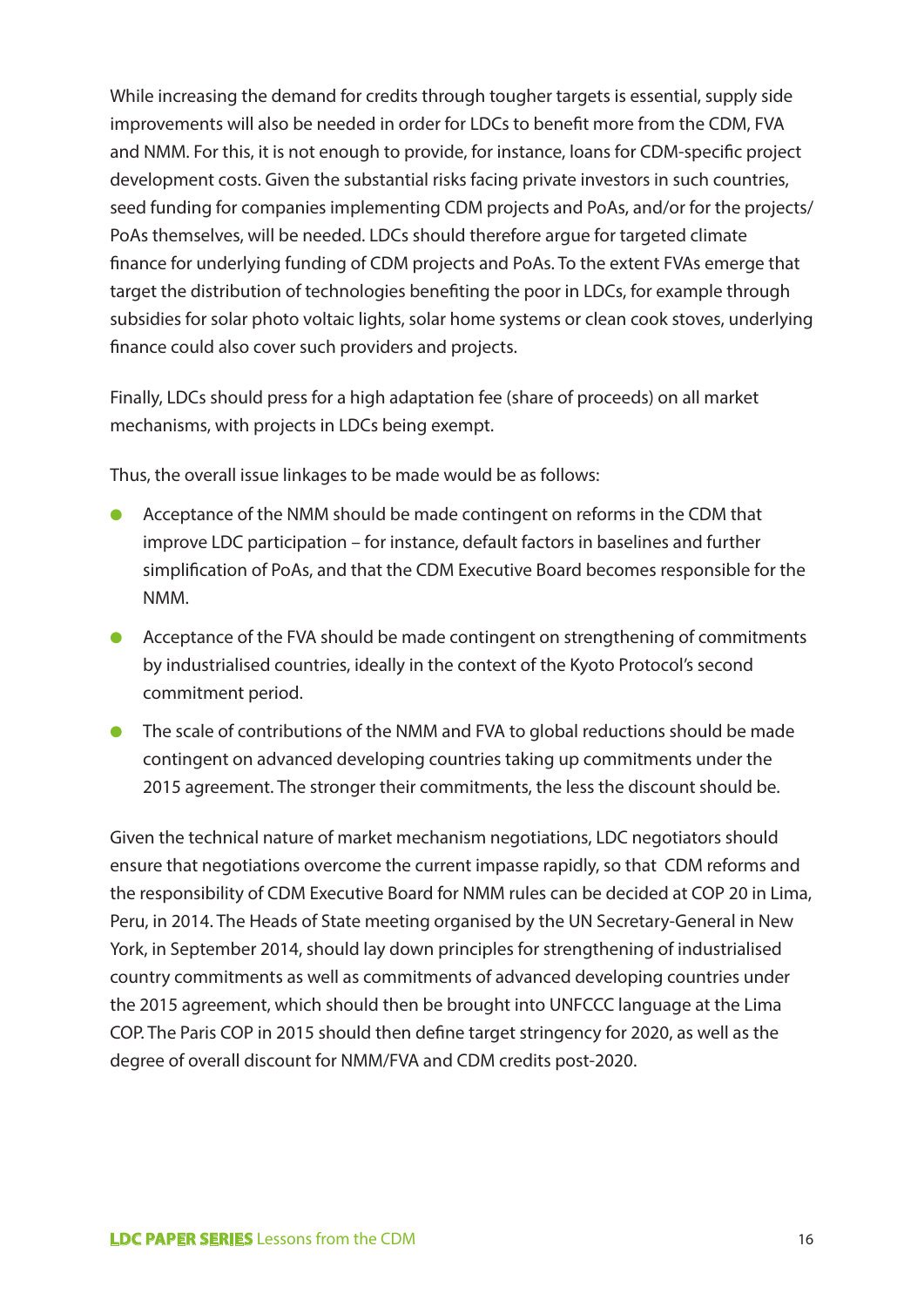While increasing the demand for credits through tougher targets is essential, supply side improvements will also be needed in order for LDCs to benefit more from the CDM, FVA and NMM. For this, it is not enough to provide, for instance, loans for CDM-specific project development costs. Given the substantial risks facing private investors in such countries, seed funding for companies implementing CDM projects and PoAs, and/or for the projects/ PoAs themselves, will be needed. LDCs should therefore argue for targeted climate finance for underlying funding of CDM projects and PoAs. To the extent FVAs emerge that target the distribution of technologies benefiting the poor in LDCs, for example through subsidies for solar photo voltaic lights, solar home systems or clean cook stoves, underlying finance could also cover such providers and projects.

Finally, LDCs should press for a high adaptation fee (share of proceeds) on all market mechanisms, with projects in LDCs being exempt.

Thus, the overall issue linkages to be made would be as follows:

- Acceptance of the NMM should be made contingent on reforms in the CDM that improve LDC participation – for instance, default factors in baselines and further simplification of PoAs, and that the CDM Executive Board becomes responsible for the NMM.
- Acceptance of the FVA should be made contingent on strengthening of commitments by industrialised countries, ideally in the context of the Kyoto Protocol's second commitment period.
- The scale of contributions of the NMM and FVA to global reductions should be made contingent on advanced developing countries taking up commitments under the 2015 agreement. The stronger their commitments, the less the discount should be.

Given the technical nature of market mechanism negotiations, LDC negotiators should ensure that negotiations overcome the current impasse rapidly, so that CDM reforms and the responsibility of CDM Executive Board for NMM rules can be decided at COP 20 in Lima, Peru, in 2014. The Heads of State meeting organised by the UN Secretary-General in New York, in September 2014, should lay down principles for strengthening of industrialised country commitments as well as commitments of advanced developing countries under the 2015 agreement, which should then be brought into UNFCCC language at the Lima COP. The Paris COP in 2015 should then define target stringency for 2020, as well as the degree of overall discount for NMM/FVA and CDM credits post-2020.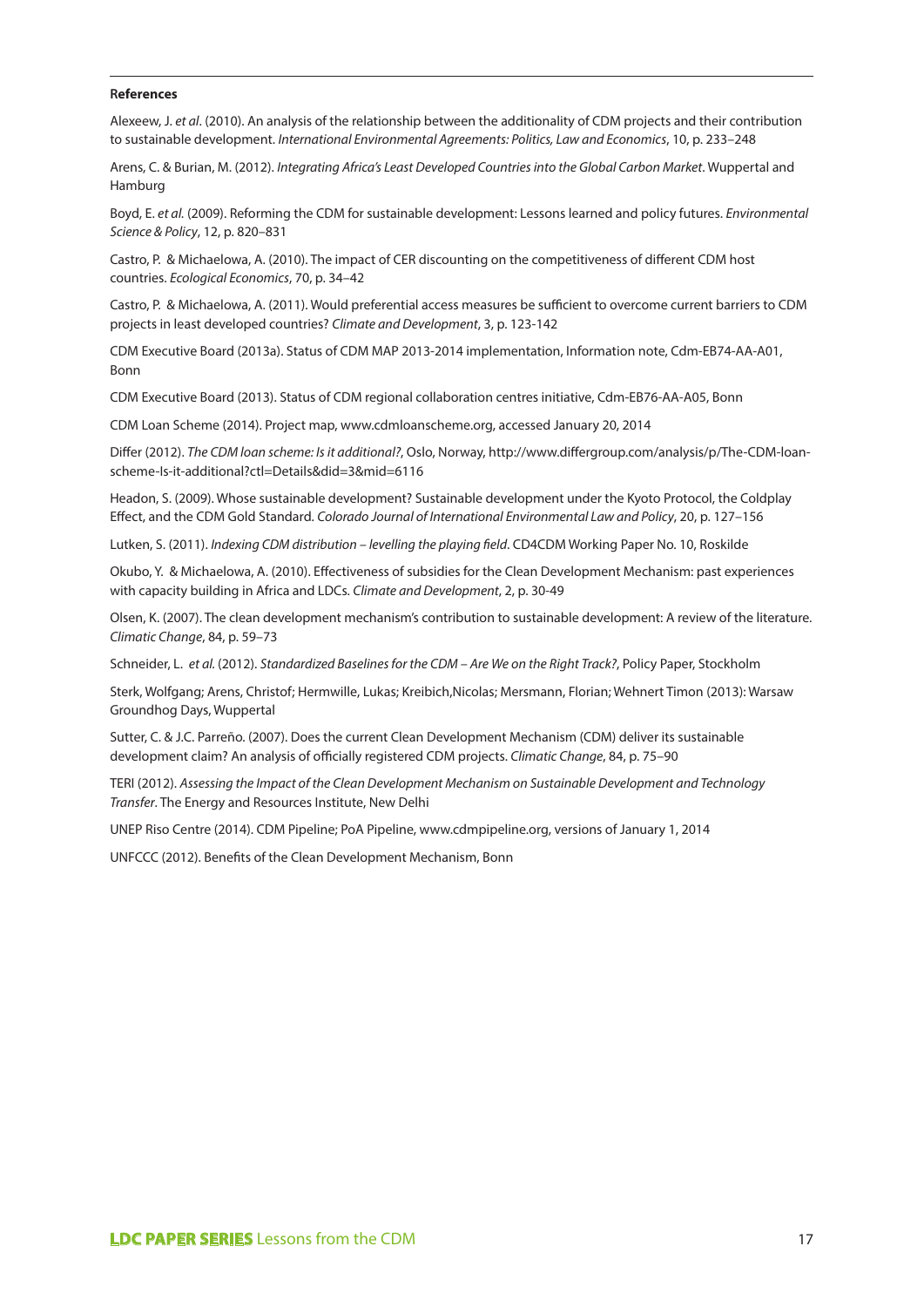#### **References**

Alexeew, J. *et al*. (2010). An analysis of the relationship between the additionality of CDM projects and their contribution to sustainable development. *International Environmental Agreements: Politics, Law and Economics*, 10, p. 233–248

Arens, C. & Burian, M. (2012). *Integrating Africa's Least Developed Countries into the Global Carbon Market*. Wuppertal and Hamburg

Boyd, E. *et al.* (2009). Reforming the CDM for sustainable development: Lessons learned and policy futures. *Environmental Science & Policy*, 12, p. 820–831

Castro, P. & Michaelowa, A. (2010). The impact of CER discounting on the competitiveness of different CDM host countries. *Ecological Economics*, 70, p. 34–42

Castro, P. & Michaelowa, A. (2011). Would preferential access measures be sufficient to overcome current barriers to CDM projects in least developed countries? *Climate and Development*, 3, p. 123-142

CDM Executive Board (2013a). Status of CDM MAP 2013-2014 implementation, Information note, Cdm-EB74-AA-A01, Bonn

CDM Executive Board (2013). Status of CDM regional collaboration centres initiative, Cdm-EB76-AA-A05, Bonn

CDM Loan Scheme (2014). Project map, www.cdmloanscheme.org, accessed January 20, 2014

Differ (2012). *The CDM loan scheme: Is it additional?*, Oslo, Norway, http://www.differgroup.com/analysis/p/The-CDM-loanscheme-Is-it-additional?ctl=Details&did=3&mid=6116

Headon, S. (2009). Whose sustainable development? Sustainable development under the Kyoto Protocol, the Coldplay Effect, and the CDM Gold Standard. *Colorado Journal of International Environmental Law and Policy*, 20, p. 127–156

Lutken, S. (2011). *Indexing CDM distribution – levelling the playing field*. CD4CDM Working Paper No. 10, Roskilde

Okubo, Y. & Michaelowa, A. (2010). Effectiveness of subsidies for the Clean Development Mechanism: past experiences with capacity building in Africa and LDCs. *Climate and Development*, 2, p. 30-49

Olsen, K. (2007). The clean development mechanism's contribution to sustainable development: A review of the literature. *Climatic Change*, 84, p. 59–73

Schneider, L. *et al.* (2012). *Standardized Baselines for the CDM – Are We on the Right Track?*, Policy Paper, Stockholm

Sterk, Wolfgang; Arens, Christof; Hermwille, Lukas; Kreibich,Nicolas; Mersmann, Florian; Wehnert Timon (2013): Warsaw Groundhog Days, Wuppertal

Sutter, C. & J.C. Parreño. (2007). Does the current Clean Development Mechanism (CDM) deliver its sustainable development claim? An analysis of officially registered CDM projects. *Climatic Change*, 84, p. 75–90

TERI (2012). *Assessing the Impact of the Clean Development Mechanism on Sustainable Development and Technology Transfer*. The Energy and Resources Institute, New Delhi

UNEP Riso Centre (2014). CDM Pipeline; PoA Pipeline, www.cdmpipeline.org, versions of January 1, 2014

UNFCCC (2012). Benefits of the Clean Development Mechanism, Bonn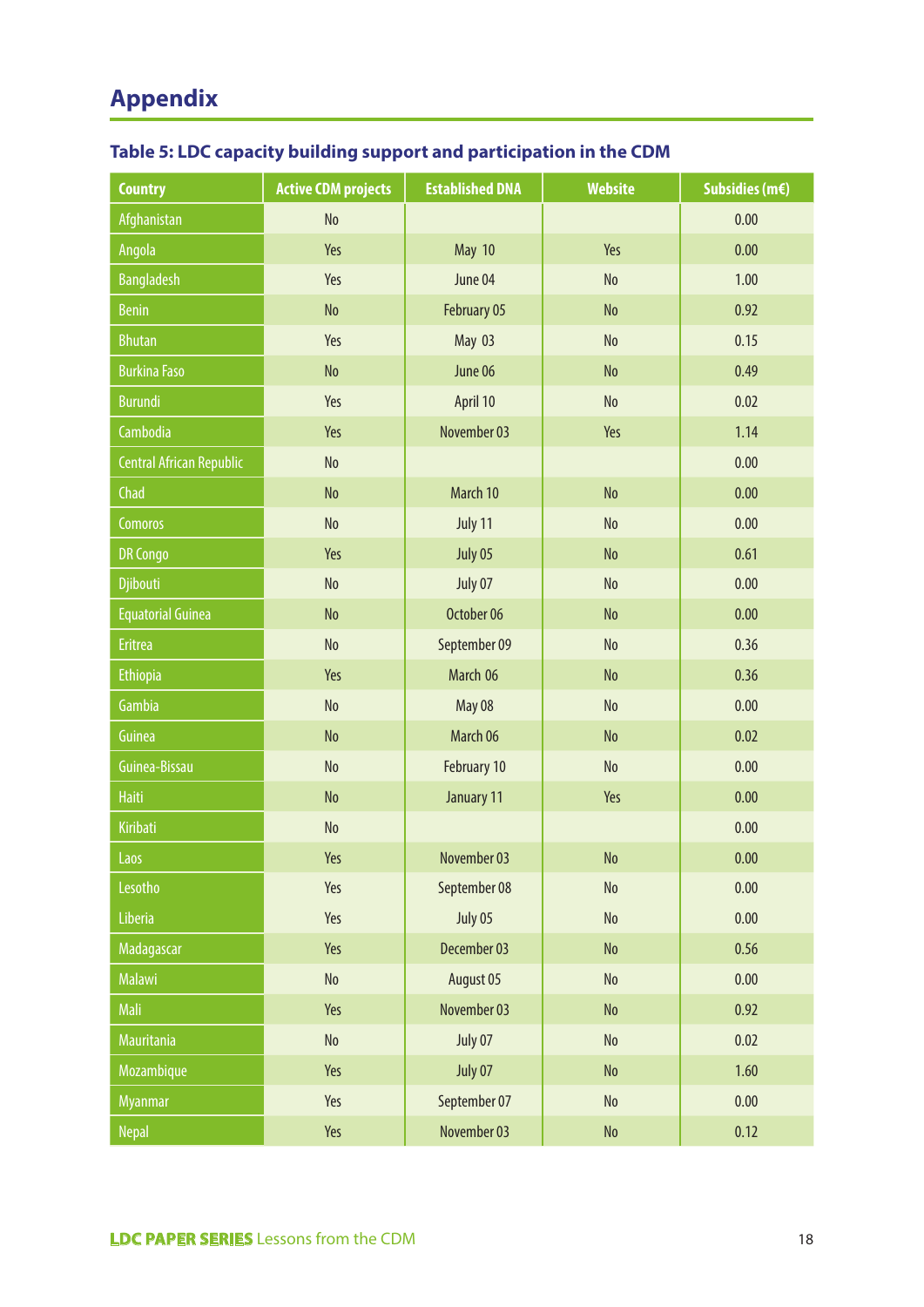# **Appendix**

| <b>Country</b>                  | <b>Active CDM projects</b>   | <b>Established DNA</b>       | <b>Website</b>               | Subsidies (m€) |
|---------------------------------|------------------------------|------------------------------|------------------------------|----------------|
| Afghanistan                     | N <sub>o</sub>               |                              |                              | 0.00           |
| Angola                          | Yes                          | May 10                       | Yes                          | 0.00           |
| <b>Bangladesh</b>               | Yes                          | June 04                      | N <sub>o</sub>               | 1.00           |
| <b>Benin</b>                    | <b>No</b>                    | February 05                  | N <sub>o</sub>               | 0.92           |
| <b>Bhutan</b>                   | Yes                          | May 03                       | No                           | 0.15           |
| <b>Burkina Faso</b>             | No                           | June 06                      | N <sub>o</sub>               | 0.49           |
| <b>Burundi</b>                  | Yes                          | April 10                     | No                           | 0.02           |
| Cambodia                        | Yes                          | November 03                  | Yes                          | 1.14           |
| <b>Central African Republic</b> | $\operatorname{\mathsf{No}}$ |                              |                              | 0.00           |
| Chad                            | N <sub>o</sub>               | March 10                     | N <sub>o</sub>               | 0.00           |
| Comoros                         | $\operatorname{\mathsf{No}}$ | July 11                      | No                           | 0.00           |
| <b>DR Congo</b>                 | Yes                          | July 05                      | N <sub>o</sub>               | 0.61           |
| Djibouti                        | N <sub>o</sub>               | July 07                      | No                           | 0.00           |
| <b>Equatorial Guinea</b>        | N <sub>o</sub>               | October 06                   | No                           | 0.00           |
| <b>Eritrea</b>                  | N <sub>o</sub>               | September 09                 | No                           | 0.36           |
| <b>Ethiopia</b>                 | Yes                          | March 06<br>No               |                              | 0.36           |
| Gambia                          | No                           | May 08<br>$\rm No$           |                              | 0.00           |
| Guinea                          | No                           | March 06<br>N <sub>o</sub>   |                              | 0.02           |
| Guinea-Bissau                   | N <sub>o</sub>               | February 10                  | No                           | 0.00           |
| <b>Haiti</b>                    | N <sub>o</sub>               | January 11                   | Yes                          | 0.00           |
| Kiribati                        | No                           |                              |                              | 0.00           |
| Laos                            | Yes                          | November 03                  | N <sub>o</sub>               | 0.00           |
| Lesotho                         | Yes                          | September 08                 | $\operatorname{\mathsf{No}}$ | 0.00           |
| Liberia                         | Yes                          | July 05                      | $\rm No$                     | 0.00           |
| Madagascar                      | Yes                          | December 03<br>$\mathsf{No}$ |                              | 0.56           |
| Malawi                          | No                           | August 05<br>No              |                              | 0.00           |
| Mali                            | Yes                          | November 03                  | N <sub>o</sub>               | 0.92           |
| Mauritania                      | $\operatorname{\mathsf{No}}$ | July 07                      | $\rm No$                     | 0.02           |
| Mozambique                      | Yes                          | July 07                      | $\rm No$                     | 1.60           |
| <b>Myanmar</b>                  | Yes                          | September 07<br>No           |                              | 0.00           |
| <b>Nepal</b>                    | Yes                          | November 03                  | $\mathsf{No}$                | 0.12           |

## **Table 5: LDC capacity building support and participation in the CDM**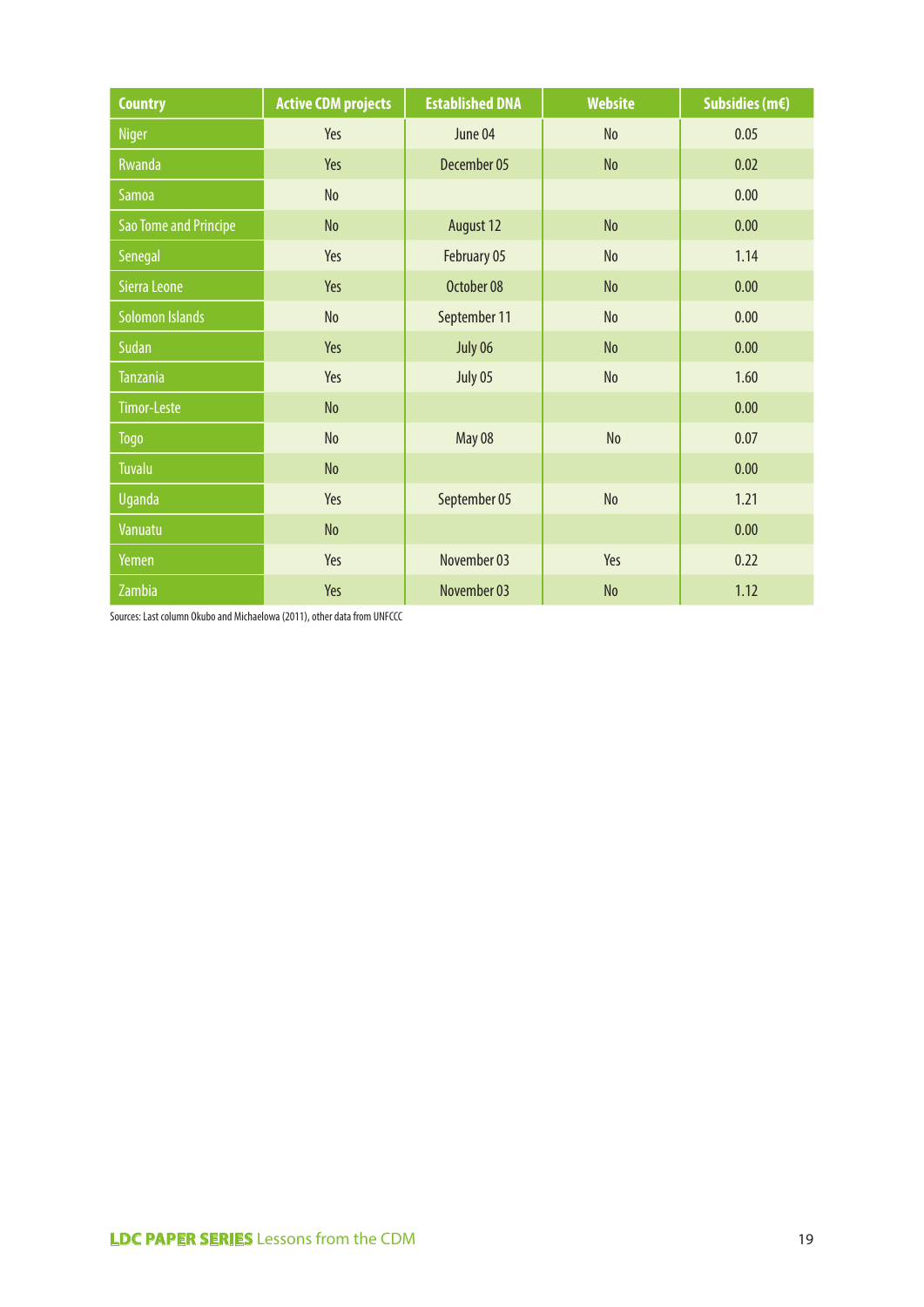| <b>Country</b>        | <b>Active CDM projects</b> | <b>Established DNA</b> | <b>Website</b> | Subsidies (m€) |
|-----------------------|----------------------------|------------------------|----------------|----------------|
| <b>Niger</b>          | Yes                        | June 04                | N <sub>o</sub> | 0.05           |
| Rwanda                | Yes                        | December 05            | N <sub>o</sub> | 0.02           |
| Samoa                 | N <sub>o</sub>             |                        |                | 0.00           |
| Sao Tome and Principe | No                         | August 12              | N <sub>o</sub> | 0.00           |
| Senegal               | Yes                        | February 05            | N <sub>o</sub> | 1.14           |
| Sierra Leone          | Yes                        | October 08             | N <sub>o</sub> | 0.00           |
| Solomon Islands       | No                         | September 11           | N <sub>o</sub> | 0.00           |
| Sudan                 | Yes                        | July 06                | No             | 0.00           |
| <b>Tanzania</b>       | Yes                        | July 05                | No             | 1.60           |
| <b>Timor-Leste</b>    | N <sub>o</sub>             |                        |                | 0.00           |
| Togo                  | No                         | May 08                 | N <sub>o</sub> | 0.07           |
| Tuvalu                | No                         |                        |                | 0.00           |
| Uganda                | Yes                        | September 05           | N <sub>o</sub> | 1.21           |
| Vanuatu               | No                         |                        |                | 0.00           |
| Yemen                 | Yes                        | November 03            | Yes            | 0.22           |
| Zambia                | Yes                        | November 03            | N <sub>o</sub> | 1.12           |

Sources: Last column Okubo and Michaelowa (2011), other data from UNFCCC